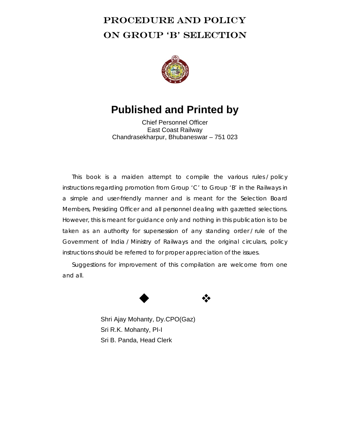# PROCEDURE AND POLICY ON GROUP 'B' SELECTION



# **Published and Printed by**

Chief Personnel Officer East Coast Railway Chandrasekharpur, Bhubaneswar – 751 023

This book is a maiden attempt to compile the various rules / policy instructions regarding promotion from Group 'C' to Group 'B' in the Railways in a simple and user-friendly manner and is meant for the Selection Board Members, Presiding Officer and all personnel dealing with gazetted selections. However, this is meant for guidance only and nothing in this publication is to be taken as an authority for supersession of any standing order / rule of the Government of India / Ministry of Railways and the original circulars, policy instructions should be referred to for proper appreciation of the issues.

Suggestions for improvement of this compilation are welcome from one and all.



Shri Ajay Mohanty, Dy.CPO(Gaz) Sri R.K. Mohanty, PI-I Sri B. Panda, Head Clerk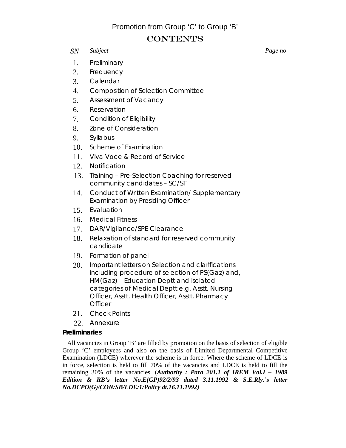# Promotion from Group 'C' to Group 'B'

# **CONTENTS**

# *SN Subject Page no*

1. Preliminary

- 2. Frequency
- 3. Calendar
- 4. Composition of Selection Committee
- 5. Assessment of Vacancy
- 6. Reservation
- 7. Condition of Eligibility
- 8. Zone of Consideration
- 9. Syllabus
- 10. Scheme of Examination
- 11. Viva Voce & Record of Service
- 12. Notification
- 13. Training Pre-Selection Coaching for reserved community candidates – SC/ST
- 14. Conduct of Written Examination/ Supplementary Examination by Presiding Officer
- 15. Evaluation
- 16. Medical Fitness
- 17. DAR/Vigilance/SPE Clearance
- 18. Relaxation of standard for reserved community candidate
- 19. Formation of panel
- 20. Important letters on Selection and clarifications including procedure of selection of PS(Gaz) and, HM(Gaz) – Education Deptt and isolated categories of Medical Deptt e.g. Asstt. Nursing Officer, Asstt. Health Officer, Asstt. Pharmacy **Officer**
- 21. Check Points
- 22. Annexure i

# **Preliminaries**

All vacancies in Group 'B' are filled by promotion on the basis of selection of eligible Group 'C' employees and also on the basis of Limited Departmental Competitive Examination (LDCE) wherever the scheme is in force. Where the scheme of LDCE is in force, selection is held to fill 70% of the vacancies and LDCE is held to fill the remaining 30% of the vacancies. (*Authority : Para 201.1 of IREM Vol.I – 1989 Edition & RB's letter No.E(GP)92/2/93 dated 3.11.1992 & S.E.Rly.'s letter No.DCPO(G)/CON/SB/LDE/1/Policy dt.16.11.1992)*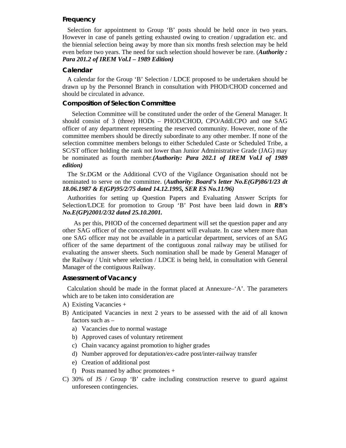## **Frequency**

Selection for appointment to Group 'B' posts should be held once in two years. However in case of panels getting exhausted owing to creation / upgradation etc. and the biennial selection being away by more than six months fresh selection may be held even before two years. The need for such selection should however be rare. (*Authority : Para 201.2 of IREM Vol.I – 1989 Edition)*

#### **Calendar**

A calendar for the Group 'B' Selection / LDCE proposed to be undertaken should be drawn up by the Personnel Branch in consultation with PHOD/CHOD concerned and should be circulated in advance.

#### **Composition of Selection Committee**

Selection Committee will be constituted under the order of the General Manager. It should consist of 3 (three) HODs – PHOD/CHOD, CPO/Addl.CPO and one SAG officer of any department representing the reserved community. However, none of the committee members should be directly subordinate to any other member. If none of the selection committee members belongs to either Scheduled Caste or Scheduled Tribe, a SC/ST officer holding the rank not lower than Junior Administrative Grade (JAG) may be nominated as fourth member.*(Authority: Para 202.1 of IREM Vol.I of 1989 edition)* 

The Sr.DGM or the Additional CVO of the Vigilance Organisation should not be nominated to serve on the committee. (*Authority*: *Board's letter No.E(GP)86/1/23 dt 18.06.1987 & E(GP)95/2/75 dated 14.12.1995, SER ES No.11/96)* 

Authorities for setting up Question Papers and Evaluating Answer Scripts for Selection/LDCE for promotion to Group 'B' Post have been laid down in *RB's No.E(GP)2001/2/32 dated 25.10.2001.* 

 As per this, PHOD of the concerned department will set the question paper and any other SAG officer of the concerned department will evaluate. In case where more than one SAG officer may not be available in a particular department, services of an SAG officer of the same department of the contiguous zonal railway may be utilised for evaluating the answer sheets. Such nomination shall be made by General Manager of the Railway / Unit where selection / LDCE is being held, in consultation with General Manager of the contiguous Railway.

#### **Assessment of Vacancy**

Calculation should be made in the format placed at Annexure–'A'. The parameters which are to be taken into consideration are

- A) Existing Vacancies +
- B) Anticipated Vacancies in next 2 years to be assessed with the aid of all known factors such as –
	- a) Vacancies due to normal wastage
	- b) Approved cases of voluntary retirement
	- c) Chain vacancy against promotion to higher grades
	- d) Number approved for deputation/ex-cadre post/inter-railway transfer
	- e) Creation of additional post
	- f) Posts manned by adhoc promotees +
- C) 30% of JS / Group 'B' cadre including construction reserve to guard against unforeseen contingencies.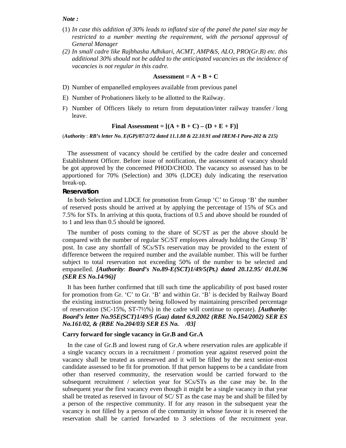*Note :* 

- (1) *In case this addition of 30% leads to inflated size of the panel the panel size may be restricted to a number meeting the requirement, with the personal approval of General Manager*
- *(2) In small cadre like Rajbhasha Adhikari, ACMT, AMP&S, ALO, PRO(Gr.B) etc. this additional 30% should not be added to the anticipated vacancies as the incidence of vacancies is not regular in this cadre.*

#### Assessment =  $A + B + C$

- D) Number of empanelled employees available from previous panel
- E) Number of Probationers likely to be allotted to the Railway.
- F) Number of Officers likely to return from deputation/inter railway transfer / long leave.

#### Final Assessment =  $[(A + B + C) - (D + E + F)]$

(*Authority* : *RB's letter No. E(GP)/87/2/72 dated 11.1.88 & 22.10.91 and IREM-I Para-202 & 215)* 

The assessment of vacancy should be certified by the cadre dealer and concerned Establishment Officer. Before issue of notification, the assessment of vacancy should be got approved by the concerned PHOD/CHOD. The vacancy so assessed has to be apportioned for 70% (Selection) and 30% (LDCE) duly indicating the reservation break-up.

#### **Reservation**

In both Selection and LDCE for promotion from Group 'C' to Group 'B' the number of reserved posts should be arrived at by applying the percentage of 15% of SCs and 7.5% for STs. In arriving at this quota, fractions of 0.5 and above should be rounded of to 1 and less than 0.5 should be ignored.

The number of posts coming to the share of SC/ST as per the above should be compared with the number of regular SC/ST employees already holding the Group 'B' post. In case any shortfall of SCs/STs reservation may be provided to the extent of difference between the required number and the available number. This will be further subject to total reservation not exceeding 50% of the number to be selected and empanelled. *[Authority*: *Board's No.89-E(SCT)1/49/5(Pt.) dated 20.12.95/ 01.01.96 (SER ES No.14/96)]* 

It has been further confirmed that till such time the applicability of post based roster for promotion from Gr. 'C' to Gr. 'B' and within Gr. 'B' is decided by Railway Board the existing instruction presently being followed by maintaining prescribed percentage of reservation (SC-15%, ST-7½%) in the cadre will continue to operate). *[Authority*: *Board's letter No.95E(SCT)1/49/5 (Gaz) dated 6.9.2002 (RBE No.154/2002) SER ES No.161/02, & (RBE No.204/03) SER ES No. /03]* 

## **Carry forward for single vacancy in Gr.B and Gr.A**

In the case of Gr.B and lowest rung of Gr.A where reservation rules are applicable if a single vacancy occurs in a recruitment / promotion year against reserved point the vacancy shall be treated as unreserved and it will be filled by the next senior-most candidate assessed to be fit for promotion. If that person happens to be a candidate from other than reserved community, the reservation would be carried forward to the subsequent recruitment / selection year for SCs/STs as the case may be. In the subsequent year the first vacancy even though it might be a single vacancy in that year shall be treated as reserved in favour of SC/ ST as the case may be and shall be filled by a person of the respective community. If for any reason in the subsequent year the vacancy is not filled by a person of the community in whose favour it is reserved the reservation shall be carried forwarded to 3 selections of the recruitment year.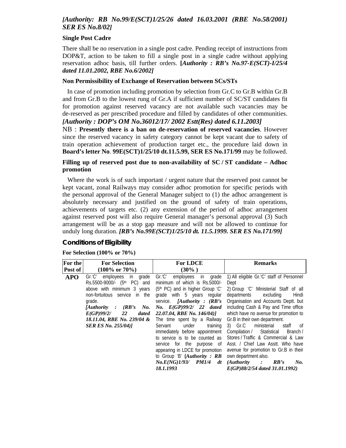# *[Authority: RB No.99/E(SCT)1/25/26 dated 16.03.2001 (RBE No.58/2001) SER ES No.8/02]*

#### **Single Post Cadre**

There shall be no reservation in a single post cadre. Pending receipt of instructions from DOP&T, action to be taken to fill a single post in a single cadre without applying reservation adhoc basis, till further orders. **[***Authority : RB's No.97-E(SCT)-I/25/4 dated 11.01.2002, RBE No.6/2002]* 

## **Non Permissibility of Exchange of Reservation between SCs/STs**

In case of promotion including promotion by selection from Gr.C to Gr.B within Gr.B and from Gr.B to the lowest rung of Gr.A if sufficient number of SC/ST candidates fit for promotion against reserved vacancy are not available such vacancies may be de-reserved as per prescribed procedure and filled by candidates of other communities.

# *[Authority : DOP's OM No.36012/17/ 2002 Estt(Res) dated 6.11.2003]*

NB : **Presently there is a ban on de-reservation of reserved vacancies**. However since the reserved vacancy in safety category cannot be kept vacant due to safety of train operation achievement of production target etc., the procedure laid down in **Board's letter No**. **99E(SCT)1/25/10 dt.11.5.99, SER ES No.171/99** may be followed.

# **Filling up of reserved post due to non-availability of SC / ST candidate – Adhoc promotion**

Where the work is of such important / urgent nature that the reserved post cannot be kept vacant, zonal Railways may consider adhoc promotion for specific periods with the personal approval of the General Manager subject to (1) the adhoc arrangement is absolutely necessary and justified on the ground of safety of train operations, achievements of targets etc. (2) any extension of the period of adhoc arrangement against reserved post will also require General manager's personal approval (3) Such arrangement will be as a stop gap measure and will not be allowed to continue for unduly long duration. *[RB's No.99E(SCT)1/25/10 dt. 11.5.1999. SER ES No.171/99]* 

# **Conditions of Eligibility**

# **For Selection (100% or 70%)**

| <b>For the</b> | <b>For Selection</b>                    | <b>For LDCE</b>                                   | <b>Remarks</b>                            |
|----------------|-----------------------------------------|---------------------------------------------------|-------------------------------------------|
| Post of        | $(100\% \text{ or } 70\%)$              | $(30\%)$                                          |                                           |
| <b>APO</b>     | employees<br>Gr.C'<br>in<br>grade       | Gr.C'<br>employees<br>in<br>grade                 | 1) All eligible Gr.'C' staff of Personnel |
|                | Rs.5500-9000/- (5 <sup>th</sup> PC) and | minimum of which is Rs.5000/-                     | Dept                                      |
|                | above with minimum 3 years              | $(5th PC)$ and in higher Group 'C'                | 2) Group 'C' Ministerial Staff of all     |
|                | non-fortuitous service in the           | grade with 5 years regular                        | Hindi<br>departments<br>excluding         |
|                | grade.                                  | service. <i>[Authority : <math>(RB's)</math>]</i> | Organisation and Accounts Deptt. but      |
|                | (RB's)<br>Authority:<br>No.             | No. E(GP)99/2/ 22 dated                           | including Cash & Pay and Time office      |
|                | E(GP)99/2/<br>22<br>dated               | 22.07.04, RBE No. 146/04)]                        | which have no avenue for promotion to     |
|                | 18.11.04, RBE No. 239/04 &              | The time spent by a Railway                       | Gr.B in their own department.             |
|                | <b>SER ES No. 255/04)1</b>              | under<br>Servant<br>training                      | ministerial<br>3) Gr.C<br>staff of        |
|                |                                         | immediately before appointment                    | Compilation / Statistical<br>Branch /     |
|                |                                         | to service is to be counted as                    | Stores / Traffic & Commercial & Law       |
|                |                                         | service for the purpose of                        | Asst. / Chief Law Asstt. Who have         |
|                |                                         | appearing in LDCE for promotion                   | avenue for promotion to Gr.B in their     |
|                |                                         | to Group 'B' $(A uthority : RB$                   | own department also.                      |
|                |                                         | No.E(NG)1/93/PM1/4<br>dt                          | (Authority :<br>RB's<br>No.               |
|                |                                         | 18.1.1993                                         | E(GP)88/2/54 dated 31.01.1992)            |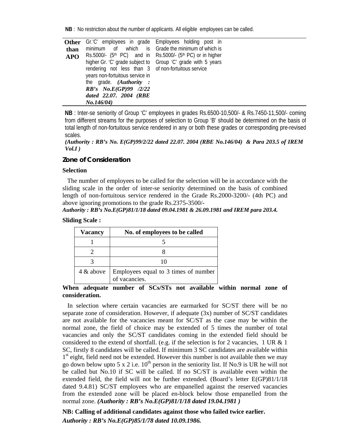**NB** : No restriction about the number of applicants. All eligible employees can be called.

|            | Other Gr.'C' employees in grade Employees holding post in |                                                              |
|------------|-----------------------------------------------------------|--------------------------------------------------------------|
| than       |                                                           | minimum of which is Grade the minimum of which is            |
| <b>APO</b> | $Rs.5000/ (5th PC)$ and in                                | Rs.5000/- (5 <sup>th</sup> PC) or in higher                  |
|            |                                                           | higher Gr. 'C' grade subject to Group 'C' grade with 5 years |
|            | rendering not less than 3 of non-fortuitous service       |                                                              |
|            | years non-fortuitous service in                           |                                                              |
|            | the grade. (Authority :                                   |                                                              |
|            | RB's No.E(GP)99 /2/22                                     |                                                              |
|            | dated 22.07. 2004 (RBE                                    |                                                              |
|            | No.146/04)                                                |                                                              |

**NB** : Inter-se seniority of Group 'C' employees in grades Rs.6500-10,500/- & Rs.7450-11,500/- coming from different streams for the purposes of selection to Group 'B' should be determined on the basis of total length of non-fortuitous service rendered in any or both these grades or corresponding pre-revised scales.

```
(Authority : RB's No. E(GP)99/2/22 dated 22.07. 2004 (RBE No.146/04) & Para 203.5 of IREM 
Vol.I )
```
# **Zone of Consideration**

## **Selection**

The number of employees to be called for the selection will be in accordance with the sliding scale in the order of inter-se seniority determined on the basis of combined length of non-fortuitous service rendered in the Grade Rs.2000-3200/- (4th PC) and above ignoring promotions to the grade Rs.2375-3500/-

## *Authority : RB's No.E(GP)81/1/18 dated 09.04.1981 & 26.09.1981 and IREM para 203.4.*

## **Sliding Scale :**

| Vacancy      | No. of employees to be called                         |
|--------------|-------------------------------------------------------|
|              |                                                       |
|              |                                                       |
|              |                                                       |
| $4 \&$ above | Employees equal to 3 times of number<br>of vacancies. |

# **When adequate number of SCs/STs not available within normal zone of consideration.**

In selection where certain vacancies are earmarked for SC/ST there will be no separate zone of consideration. However, if adequate (3x) number of SC/ST candidates are not available for the vacancies meant for SC/ST as the case may be within the normal zone, the field of choice may be extended of 5 times the number of total vacancies and only the SC/ST candidates coming in the extended field should be considered to the extend of shortfall. (e.g. if the selection is for 2 vacancies, 1 UR & 1 SC, firstly 8 candidates will be called. If minimum 3 SC candidates are available within 1<sup>st</sup> eight, field need not be extended. However this number is not available then we may go down below upto 5 x 2 i.e.  $10^{th}$  person in the seniority list. If No.9 is UR he will not be called but No.10 if SC will be called. If no SC/ST is available even within the extended field, the field will not be further extended. (Board's letter E(GP)81/1/18 dated 9.4.81) SC/ST employees who are empanelled against the reserved vacancies from the extended zone will be placed en-block below those empanelled from the normal zone. *(Authority : RB's No.E(GP)81/1/18 dated 19.04.1981 )*

**NB: Calling of additional candidates against those who failed twice earlier.**  *Authority : RB's No.E(GP)85/1/78 dated 10.09.1986.*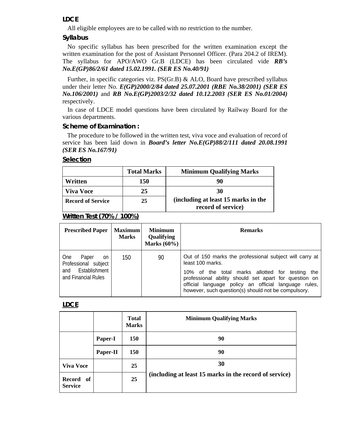# **LDCE**

All eligible employees are to be called with no restriction to the number.

# **Syllabus**

No specific syllabus has been prescribed for the written examination except the written examination for the post of Assistant Personnel Officer. (Para 204.2 of IREM). The syllabus for APO/AWO Gr.B (LDCE) has been circulated vide *RB's No.E(GP)86/2/61 dated 15.02.1991. (SER ES No.40/91)* 

Further, in specific categories viz. PS(Gr.B) & ALO, Board have prescribed syllabus under their letter No. *E(GP)2000/2/84 dated 25.07.2001 (RBE No.38/2001) (SER ES No.106/2001)* and *RB No.E(GP)2003/2/32 dated 10.12.2003 (SER ES No.01/2004)*  respectively.

In case of LDCE model questions have been circulated by Railway Board for the various departments.

#### **Scheme of Examination :**

The procedure to be followed in the written test, viva voce and evaluation of record of service has been laid down in *Board's letter No.E(GP)88/2/111 dated 20.08.1991 (SER ES No.167/91)*

# **Selection**

|                          | <b>Total Marks</b> | <b>Minimum Qualifying Marks</b>                           |
|--------------------------|--------------------|-----------------------------------------------------------|
| Written                  | 150                |                                                           |
| <b>Viva Voce</b>         | 25                 | 30                                                        |
| <b>Record of Service</b> | 25                 | (including at least 15 marks in the<br>record of service) |

# **Written Test (70% / 100%)**

| <b>Prescribed Paper</b>                                                                          | <b>Maximum</b><br><b>Marks</b> | <b>Minimum</b><br>Qualifying<br>Marks $(60\%)$ | <b>Remarks</b>                                                                                                                                                                                                                                                                                         |
|--------------------------------------------------------------------------------------------------|--------------------------------|------------------------------------------------|--------------------------------------------------------------------------------------------------------------------------------------------------------------------------------------------------------------------------------------------------------------------------------------------------------|
| <b>One</b><br>Paper<br>on<br>Professional subject<br>Establishment<br>and<br>and Financial Rules | 150                            | 90                                             | Out of 150 marks the professional subject will carry at<br>least 100 marks.<br>10% of the total marks allotted for testing the<br>professional ability should set apart for question on<br>official language policy an official language rules,<br>however, such question(s) should not be compulsory. |

# **LDCE**

|                             |          | <b>Total</b><br><b>Marks</b> | <b>Minimum Qualifying Marks</b>                        |
|-----------------------------|----------|------------------------------|--------------------------------------------------------|
|                             | Paper-I  | <b>150</b>                   | 90                                                     |
|                             | Paper-II | <b>150</b>                   | 90                                                     |
| <b>Viva Voce</b>            |          | 25                           | 30                                                     |
| Record of<br><b>Service</b> |          | 25                           | (including at least 15 marks in the record of service) |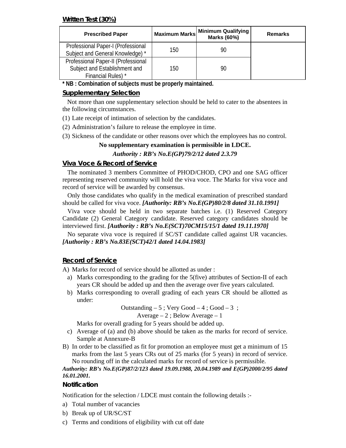# **Written Test (30%)**

| <b>Prescribed Paper</b>                                                                    |     | Maximum Marks Minimum Qualifying<br>Marks (60%) | Remarks |
|--------------------------------------------------------------------------------------------|-----|-------------------------------------------------|---------|
| Professional Paper-I (Professional<br>Subject and General Knowledge) *                     | 150 | 90                                              |         |
| Professional Paper-II (Professional<br>Subject and Establishment and<br>Financial Rules) * | 150 | 90                                              |         |

**\* NB : Combination of subjects must be properly maintained.** 

# **Supplementary Selection**

Not more than one supplementary selection should be held to cater to the absentees in the following circumstances.

- (1) Late receipt of intimation of selection by the candidates.
- (2) Administration's failure to release the employee in time.
- (3) Sickness of the candidate or other reasons over which the employees has no control.

# **No supplementary examination is permissible in LDCE.**

# *Authority : RB's No.E(GP)79/2/12 dated 2.3.79*

# **Viva Voce & Record of Service**

The nominated 3 members Committee of PHOD/CHOD, CPO and one SAG officer representing reserved community will hold the viva voce. The Marks for viva voce and record of service will be awarded by consensus.

Only those candidates who qualify in the medical examination of prescribed standard should be called for viva voce. *[Authority: RB's No.E(GP)80/2/8 dated 31.10.1991]* 

Viva voce should be held in two separate batches i.e. (1) Reserved Category Candidate (2) General Category candidate. Reserved category candidates should be interviewed first. *[Authority : RB's No.E(SCT)70CM15/15/1 dated 19.11.1970]* 

No separate viva voce is required if SC/ST candidate called against UR vacancies. *[Authority : RB's No.83E(SCT)42/1 dated 14.04.1983]* 

# **Record of Service**

A) Marks for record of service should be allotted as under :

- a) Marks corresponding to the grading for the 5(five) attributes of Section-II of each years CR should be added up and then the average over five years calculated.
- b) Marks corresponding to overall grading of each years CR should be allotted as under:

Outstanding  $-5$ ; Very Good  $-4$ ; Good  $-3$ ;

# Average – 2 ; Below Average – 1

Marks for overall grading for 5 years should be added up.

- c) Average of (a) and (b) above should be taken as the marks for record of service. Sample at Annexure-B
- B) In order to be classified as fit for promotion an employee must get a minimum of 15 marks from the last 5 years CRs out of 25 marks (for 5 years) in record of service. No rounding off in the calculated marks for record of service is permissible.

# *Authority: RB's No.E(GP)87/2/123 dated 19.09.1988, 20.04.1989 and E(GP)2000/2/95 dated 16.01.2001.*

# **Notification**

Notification for the selection / LDCE must contain the following details :-

- a) Total number of vacancies
- b) Break up of UR/SC/ST
- c) Terms and conditions of eligibility with cut off date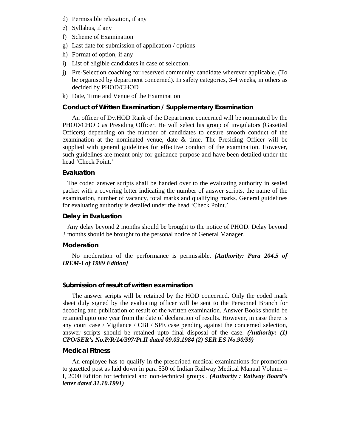- d) Permissible relaxation, if any
- e) Syllabus, if any
- f) Scheme of Examination
- g) Last date for submission of application / options
- h) Format of option, if any
- i) List of eligible candidates in case of selection.
- j) Pre-Selection coaching for reserved community candidate wherever applicable. (To be organised by department concerned). In safety categories, 3-4 weeks, in others as decided by PHOD/CHOD
- k) Date, Time and Venue of the Examination

# **Conduct of Written Examination / Supplementary Examination**

An officer of Dy.HOD Rank of the Department concerned will be nominated by the PHOD/CHOD as Presiding Officer. He will select his group of invigilators (Gazetted Officers) depending on the number of candidates to ensure smooth conduct of the examination at the nominated venue, date & time. The Presiding Officer will be supplied with general guidelines for effective conduct of the examination. However, such guidelines are meant only for guidance purpose and have been detailed under the head 'Check Point.'

# **Evaluation**

The coded answer scripts shall be handed over to the evaluating authority in sealed packet with a covering letter indicating the number of answer scripts, the name of the examination, number of vacancy, total marks and qualifying marks. General guidelines for evaluating authority is detailed under the head 'Check Point.'

# **Delay in Evaluation**

Any delay beyond 2 months should be brought to the notice of PHOD. Delay beyond 3 months should be brought to the personal notice of General Manager.

# **Moderation**

No moderation of the performance is permissible. *[Authority: Para 204.5 of IREM-I of 1989 Edition]* 

# **Submission of result of written examination**

The answer scripts will be retained by the HOD concerned. Only the coded mark sheet duly signed by the evaluating officer will be sent to the Personnel Branch for decoding and publication of result of the written examination. Answer Books should be retained upto one year from the date of declaration of results. However, in case there is any court case / Vigilance / CBI / SPE case pending against the concerned selection, answer scripts should be retained upto final disposal of the case. *(Authority: (1) CPO/SER's No.P/R/14/397/Pt.II dated 09.03.1984 (2) SER ES No.90/99)* 

# **Medical Fitness**

An employee has to qualify in the prescribed medical examinations for promotion to gazetted post as laid down in para 530 of Indian Railway Medical Manual Volume – I, 2000 Edition for technical and non-technical groups . *(Authority : Railway Board's letter dated 31.10.1991)*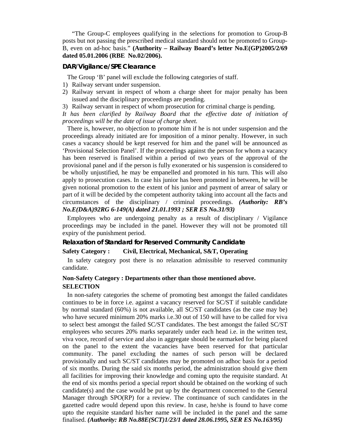"The Group-C employees qualifying in the selections for promotion to Group-B posts but not passing the prescribed medical standard should not be promoted to Group-B, even on ad-hoc basis." **(Authority – Railway Board's letter No.E(GP)2005/2/69 dated 05.01.2006 (RBE No.02/2006).**

#### **DAR/Vigilance/SPE Clearance**

The Group 'B' panel will exclude the following categories of staff.

- 1) Railway servant under suspension.
- 2) Railway servant in respect of whom a charge sheet for major penalty has been issued and the disciplinary proceedings are pending.
- 3) Railway servant in respect of whom prosecution for criminal charge is pending.

It has been clarified by Railway Board that the effective date of initiation of *proceedings will be the date of issue of charge sheet.* 

There is, however, no objection to promote him if he is not under suspension and the proceedings already initiated are for imposition of a minor penalty. However, in such cases a vacancy should be kept reserved for him and the panel will be announced as 'Provisional Selection Panel'. If the proceedings against the person for whom a vacancy has been reserved is finalised within a period of two years of the approval of the provisional panel and if the person is fully exonerated or his suspension is considered to be wholly unjustified, he may be empanelled and promoted in his turn. This will also apply to prosecution cases. In case his junior has been promoted in between, he will be given notional promotion to the extent of his junior and payment of arrear of salary or part of it will be decided by the competent authority taking into account all the facts and circumstances of the disciplinary / criminal proceedings. *(Authority: RB's No.E(D&A)92RG 6-149(A) dated 21.01.1993 ; SER ES No.31/93)* 

Employees who are undergoing penalty as a result of disciplinary / Vigilance proceedings may be included in the panel. However they will not be promoted till expiry of the punishment period.

## **Relaxation of Standard for Reserved Community Candidate**

#### **Safety Category : Civil, Electrical, Mechanical, S&T, Operating**

In safety category post there is no relaxation admissible to reserved community candidate.

# **Non-Safety Category : Departments other than those mentioned above. SELECTION**

In non-safety categories the scheme of promoting best amongst the failed candidates continues to be in force i.e. against a vacancy reserved for SC/ST if suitable candidate by normal standard (60%) is not available, all SC/ST candidates (as the case may be) who have secured minimum 20% marks i.e.30 out of 150 will have to be called for viva to select best amongst the failed SC/ST candidates. The best amongst the failed SC/ST employees who secures 20% marks separately under each head i.e. in the written test, viva voce, record of service and also in aggregate should be earmarked for being placed on the panel to the extent the vacancies have been reserved for that particular community. The panel excluding the names of such person will be declared provisionally and such SC/ST candidates may be promoted on adhoc basis for a period of six months. During the said six months period, the administration should give them all facilities for improving their knowledge and coming upto the requisite standard. At the end of six months period a special report should be obtained on the working of such candidate(s) and the case would be put up by the department concerned to the General Manager through SPO(RP) for a review. The continuance of such candidates in the gazetted cadre would depend upon this review. In case, he/she is found to have come upto the requisite standard his/her name will be included in the panel and the same finalised. *(Authority: RB No.88E(SCT)1/23/1 dated 28.06.1995, SER ES No.163/95)*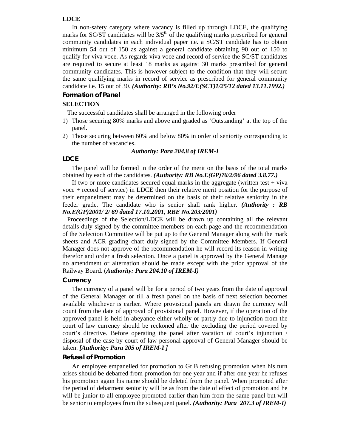#### **LDCE**

In non-safety category where vacancy is filled up through LDCE, the qualifying marks for  $SC/ST$  candidates will be  $3/5<sup>th</sup>$  of the qualifying marks prescribed for general community candidates in each individual paper i.e. a SC/ST candidate has to obtain minimum 54 out of 150 as against a general candidate obtaining 90 out of 150 to qualify for viva voce. As regards viva voce and record of service the SC/ST candidates are required to secure at least 18 marks as against 30 marks prescribed for general community candidates. This is however subject to the condition that they will secure the same qualifying marks in record of service as prescribed for general community candidate i.e. 15 out of 30. *(Authority: RB's No.92/E(SCT)1/25/12 dated 13.11.1992.)*

#### **Formation of Panel**

## **SELECTION**

The successful candidates shall be arranged in the following order

- 1) Those securing 80% marks and above and graded as 'Outstanding' at the top of the panel.
- 2) Those securing between 60% and below 80% in order of seniority corresponding to the number of vacancies.

#### *Authority: Para 204.8 of IREM-I*

# **LDCE**

The panel will be formed in the order of the merit on the basis of the total marks obtained by each of the candidates. *(Authority: RB No.E(GP)76/2/96 dated 3.8.77.)* 

If two or more candidates secured equal marks in the aggregate (written test  $+$  viva voce + record of service) in LDCE then their relative merit position for the purpose of their empanelment may be determined on the basis of their relative seniority in the feeder grade. The candidate who is senior shall rank higher. *(Authority : RB No.E(GP)2001/ 2/ 69 dated 17.10.2001, RBE No.203/2001)*

Proceedings of the Selection/LDCE will be drawn up containing all the relevant details duly signed by the committee members on each page and the recommendation of the Selection Committee will be put up to the General Manager along with the mark sheets and ACR grading chart duly signed by the Committee Members. If General Manager does not approve of the recommendation he will record its reason in writing therefor and order a fresh selection. Once a panel is approved by the General Manage no amendment or alternation should be made except with the prior approval of the Railway Board. (*Authority: Para 204.10 of IREM-I)*

## **Currency**

The currency of a panel will be for a period of two years from the date of approval of the General Manager or till a fresh panel on the basis of next selection becomes available whichever is earlier. Where provisional panels are drawn the currency will count from the date of approval of provisional panel. However, if the operation of the approved panel is held in abeyance either wholly or partly due to injunction from the court of law currency should be reckoned after the excluding the period covered by court's directive. Before operating the panel after vacation of court's injunction / disposal of the case by court of law personal approval of General Manager should be taken. *[Authority: Para 205 of IREM-I ]* 

#### **Refusal of Promotion**

An employee empanelled for promotion to Gr.B refusing promotion when his turn arises should be debarred from promotion for one year and if after one year he refuses his promotion again his name should be deleted from the panel. When promoted after the period of debarment seniority will be as from the date of effect of promotion and he will be junior to all employee promoted earlier than him from the same panel but will be senior to employees from the subsequent panel. *(Authority: Para 207.3 of IREM-I)*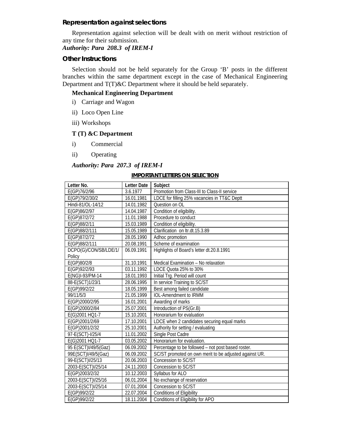#### **Representation against selections**

Representation against selection will be dealt with on merit without restriction of any time for their submission.

# *Authority: Para 208.3 of IREM-I*

#### **Other Instructions**

Selection should not be held separately for the Group 'B' posts in the different branches within the same department except in the case of Mechanical Engineering Department and T(T)&C Department where it should be held separately.

# **Mechanical Engineering Department**

- i) Carriage and Wagon
- ii) Loco Open Line
- iii) Workshops

## **T (T) &C Department**

- i) Commercial
- ii) Operating

# *Authority: Para 207.3 of IREM-I*

#### **IMPORTANT LETTERS ON SELECTION**

| Letter No.            | <b>Letter Date</b> | Subject                                                |
|-----------------------|--------------------|--------------------------------------------------------|
| E(GP)76/2/96          | 3.6.1977           | Promotion from Class-III to Class-II service           |
| E(GP)79/2/30/2        | 16.01.1981         | LDCE for filling 25% vacancies in TT&C Deptt           |
| Hindi-81/OL-14/12     | 14.01.1982         | Question on OL                                         |
| E(GP)86/2/97          | 14.04.1987         | Condition of eligibility.                              |
| E(GP)87/2/72          | 11.01.1988         | Procedure to conduct                                   |
| E(GP)88/2/11          | 15.03.1989         | Condition of eligibility.                              |
| E(GP)88/2/111         | 15.05.1989         | Clarification on ltr.dt.15.3.89                        |
| E(GP)87/2/72          | 28.05.1990         | Adhoc promotion                                        |
| E(GP)88/2/111         | 20.08.1991         | Scheme of examination                                  |
| DCPO(G)/CON/SB/LDE/1/ | 06.09.1991         | Highlights of Board's letter dt.20.8.1991              |
| Policy                |                    |                                                        |
| E(GP)80/2/8           | 31.10.1991         | Medical Examination - No relaxation                    |
| E(GP)92/2/93          | 03.11.1992         | LDCE Quota 25% to 30%                                  |
| E(NG)I-93/PM-14       | 18.01.1993         | Initial Trg. Period will count                         |
| 88-E(SCT)1/23/1       | 28.06.1995         | In service Training to SC/ST                           |
| E(GP)99/2/22          | 18.05.1999         | Best among failed candidate                            |
| 99/11/5/3             | 21.05.1999         | <b>IOL-Amendment to IRMM</b>                           |
| E(GP)2000/2/95        | 16.01.2001         | Awarding of marks                                      |
| E(GP)2000/2/84        | 25.07.2001         | Introduction of PS(Gr.B)                               |
| E(G)2001 HQ1-7        | 15.10.2001         | Honorarium for evaluation                              |
| E(GP)2001/2/69        | 17.10.2001         | LDCE when 2 candidates securing equal marks            |
| E(GP)2001/2/32        | 25.10.2001         | Authority for setting / evaluating                     |
| 97-E(SCT)-I/25/4      | 11.01.2002         | Single Post Cadre                                      |
| E(G)2001 HQ1-7        | 03.05.2002         | Honorarium for evaluation.                             |
| 95 E(SCT)I/49/5(Gaz)  | 06.09.2002         | Percentage to be followed - not post based roster.     |
| 99E(SCT)I/49/5(Gaz)   | 06.09.2002         | SC/ST promoted on own merit to be adjusted against UR. |
| 99-E(SCT)I/25/13      | 20.06.2003         | Concession to SC/ST                                    |
| 2003-E(SCT)I/25/14    | 24.11.2003         | Concession to SC/ST                                    |
| E(GP)2003/2/32        | 10.12.2003         | Syllabus for ALO                                       |
| 2003-E(SCT)I/25/16    | 06.01.2004         | No exchange of reservation                             |
| 2003-E(SCT)I/25/14    | 07.01.2004         | Concession to SC/ST                                    |
| E(GP)99/2/22          | 22.07.2004         | <b>Conditions of Eligibility</b>                       |
| E(GP)99/2/22          | 18.11.2004         | Conditions of Eligibility for APO                      |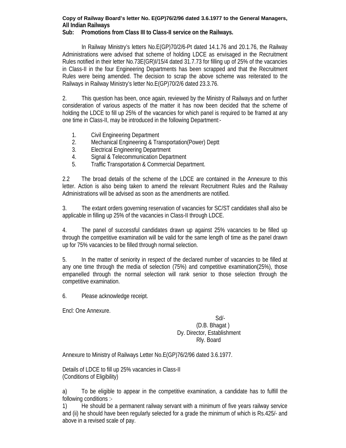# **Copy of Railway Board's letter No. E(GP)76/2/96 dated 3.6.1977 to the General Managers, All Indian Railways**

# **Sub: Promotions from Class III to Class-II service on the Railways.**

In Railway Ministry's letters No.E(GP)70/2/6-Pt dated 14.1.76 and 20.1.76, the Railway Administrations were advised that scheme of holding LDCE as envisaged in the Recruitment Rules notified in their letter No.73E(GR)I/15/4 dated 31.7.73 for filling up of 25% of the vacancies in Class-II in the four Engineering Departments has been scrapped and that the Recruitment Rules were being amended. The decision to scrap the above scheme was reiterated to the Railways in Railway Ministry's letter No.E(GP)70/2/6 dated 23.3.76.

2. This question has been, once again, reviewed by the Ministry of Railways and on further consideration of various aspects of the matter it has now been decided that the scheme of holding the LDCE to fill up 25% of the vacancies for which panel is required to be framed at any one time in Class-II, may be introduced in the following Department:-

- 1. Civil Engineering Department
- 2. Mechanical Engineering & Transportation(Power) Deptt
- 3. Electrical Engineering Department
- 4. Signal & Telecommunication Department
- 5. Traffic Transportation & Commercial Department.

2.2 The broad details of the scheme of the LDCE are contained in the Annexure to this letter. Action is also being taken to amend the relevant Recruitment Rules and the Railway Administrations will be advised as soon as the amendments are notified.

3. The extant orders governing reservation of vacancies for SC/ST candidates shall also be applicable in filling up 25% of the vacancies in Class-II through LDCE.

4. The panel of successful candidates drawn up against 25% vacancies to be filled up through the competitive examination will be valid for the same length of time as the panel drawn up for 75% vacancies to be filled through normal selection.

5. In the matter of seniority in respect of the declared number of vacancies to be filled at any one time through the media of selection (75%) and competitive examination(25%), those empanelled through the normal selection will rank senior to those selection through the competitive examination.

6. Please acknowledge receipt.

Encl: One Annexure.

 Sd/- (D.B. Bhagat ) Dy. Director, Establishment Rly. Board

Annexure to Ministry of Railways Letter No.E(GP)76/2/96 dated 3.6.1977.

Details of LDCE to fill up 25% vacancies in Class-II (Conditions of Eligibility)

a) To be eligible to appear in the competitive examination, a candidate has to fulfill the following conditions :-

1) He should be a permanent railway servant with a minimum of five years railway service and (ii) he should have been regularly selected for a grade the minimum of which is Rs.425/- and above in a revised scale of pay.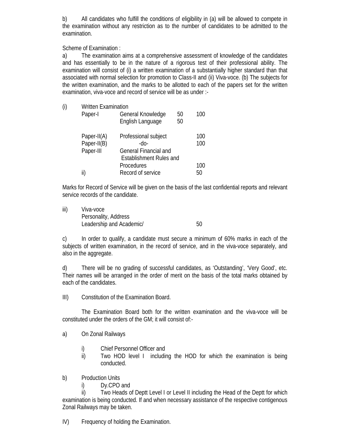b) All candidates who fulfill the conditions of eligibility in (a) will be allowed to compete in the examination without any restriction as to the number of candidates to be admitted to the examination.

Scheme of Examination :

a) The examination aims at a comprehensive assessment of knowledge of the candidates and has essentially to be in the nature of a rigorous test of their professional ability. The examination will consist of (i) a written examination of a substantially higher standard than that associated with normal selection for promotion to Class-II and (ii) Viva-voce. (b) The subjects for the written examination, and the marks to be allotted to each of the papers set for the written examination, viva-voce and record of service will be as under :-

| (i) | <b>Written Examination</b> |                                       |                              |     |  |  |
|-----|----------------------------|---------------------------------------|------------------------------|-----|--|--|
|     | Paper-I                    | General Knowledge<br>English Language | 50<br>50                     | 100 |  |  |
|     | Paper-II(A)                | Professional subject                  |                              | 100 |  |  |
|     | Paper-II(B)                | -do-                                  |                              | 100 |  |  |
|     | Paper-III                  |                                       | <b>General Financial and</b> |     |  |  |
|     |                            | <b>Establishment Rules and</b>        |                              |     |  |  |
|     |                            | Procedures                            |                              | 100 |  |  |
|     | II.                        | Record of service                     |                              | 50  |  |  |

Marks for Record of Service will be given on the basis of the last confidential reports and relevant service records of the candidate.

iii) Viva-voce Personality, Address Leadership and Academic/ 60

c) In order to qualify, a candidate must secure a minimum of 60% marks in each of the subjects of written examination, in the record of service, and in the viva-voce separately, and also in the aggregate.

d) There will be no grading of successful candidates, as 'Outstanding', 'Very Good', etc. Their names will be arranged in the order of merit on the basis of the total marks obtained by each of the candidates.

III) Constitution of the Examination Board.

 The Examination Board both for the written examination and the viva-voce will be constituted under the orders of the GM; it will consist of:-

- a) On Zonal Railways
	- i) Chief Personnel Officer and
	- ii) Two HOD level I including the HOD for which the examination is being conducted.
- b) Production Units
	- i) Dy.CPO and

 ii) Two Heads of Deptt Level I or Level II including the Head of the Deptt for which examination is being conducted. If and when necessary assistance of the respective contigenous Zonal Railways may be taken.

IV) Frequency of holding the Examination.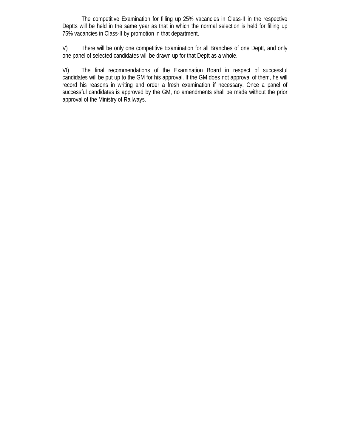The competitive Examination for filling up 25% vacancies in Class-II in the respective Deptts will be held in the same year as that in which the normal selection is held for filling up 75% vacancies in Class-II by promotion in that department.

V) There will be only one competitive Examination for all Branches of one Deptt, and only one panel of selected candidates will be drawn up for that Deptt as a whole.

VI) The final recommendations of the Examination Board in respect of successful candidates will be put up to the GM for his approval. If the GM does not approval of them, he will record his reasons in writing and order a fresh examination if necessary. Once a panel of successful candidates is approved by the GM, no amendments shall be made without the prior approval of the Ministry of Railways.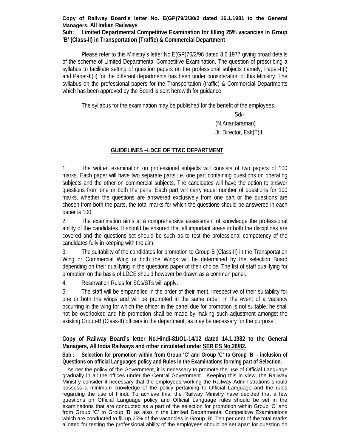## **Copy of Railway Board's letter No. E(GP)79/2/30/2 dated 16.1.1981 to the General Managers, All Indian Railways**

**Sub: Limited Departmental Competitive Examination for filling 25% vacancies in Group 'B' (Class-II) in Transportation (Traffic) & Commercial Department** 

Please refer to this Ministry's letter No.E(GP)76/2/96 dated 3.6.1977 giving broad details of the scheme of Limited Departmental Competitive Examination. The question of prescribing a syllabus to facilitate setting of question papers on the professional subjects namely, Paper-II(i) and Paper-II(ii) for the different departments has been under consideration of this Ministry. The syllabus on the professional papers for the Transportation (traffic) & Commercial Departments which has been approved by the Board is sent herewith for guidance.

The syllabus for the examination may be published for the benefit of the employees.

Sd/-

 (N.Anantaraman) Jt. Director, Estt(T)II

# **GUIDELINES –LDCE OF TT&C DEPARTMENT**

1. The written examination on professional subjects will consists of two papers of 100 marks. Each paper will have two separate parts i.e. one part containing questions on operating subjects and the other on commercial subjects. The candidates will have the option to answer questions from one or both the parts. Each part will carry equal number of questions for 100 marks, whether the questions are answered exclusively from one part or the questions are chosen from both the parts, the total marks for which the questions should be answered in each paper is 100.

2. The examination aims at a comprehensive assessment of knowledge the professional ability of the candidates. It should be ensured that all important areas in both the disciplines are covered and the questions set should be such as to test the professional competency of the candidates fully in keeping with the aim.

3. The suitability of the candidates for promotion to Group-B (Class-II) in the Transportation Wing or Commercial Wing or both the Wings will be determined by the selection Board depending on their qualifying in the questions paper of their choice. The list of staff qualifying for promotion on the basis of LDCE should however be drawn as a common panel.

4. Reservation Rules for SCs/STs will apply.

5. The staff will be empanelled in the order of their merit, irrespective of their suitability for one or both the wings and will be promoted in the same order. In the event of a vacancy occurring in the wing for which the officer in the panel due for promotion is not suitable, he shall not be overlooked and his promotion shall be made by making such adjustment amongst the existing Group-B (Class-II) officers in the department, as may be necessary for the purpose.

# **Copy of Railway Board's letter No.Hindi-81/OL-14/12 dated 14.1.1982 to the General Managers, All India Railways and other circulated under SER ES No.26/82.**

Sub : Selection for promotion within from Group 'C' and Group 'C' to Group 'B' - inclusion of **Questions on official Languages policy and Rules in the Examinations forming part of Selection.** 

As per the policy of the Government, it is necessary to promote the use of Official Language gradually in all the offices under the Central Government. Keeping this in view, the Railway Ministry consider it necessary that the employees working the Railway Administrations should possess a minimum knowledge of the policy pertaining to Official Language and the rules regarding the use of Hindi. To achieve this, the Railway Ministry have decided that a few questions on Official Language policy and Official Language rules should be set in the examinations that are conducted as a part of the selection for promotion within Group 'C' and from Group 'C' to Group 'B' as also in the Limited Departmental Competitive Examinations which are conducted to fill up 25% of the vacancies in Group 'B'. Ten per cent of the total marks allotted for testing the professional ability of the employees should be set apart for question on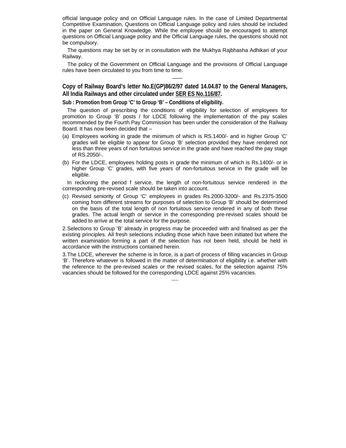official language policy and on Official Language rules. In the case of Limited Departmental Competitive Examination, Questions on Official Language policy and rules should be included in the paper on General Knowledge. While the employee should be encouraged to attempt questions on Official Language policy and the Official Language rules, the questions should not be compulsory.

The questions may be set by or in consultation with the Mukhya Rajbhasha Adhikari of your Railway.

The policy of the Government on Official Language and the provisions of Official Language rules have been circulated to you from time to time.

**Copy of Railway Board's letter No.E(GP)86/2/97 dated 14.04.87 to the General Managers, All India Railways and other circulated under SER ES No.116/87.** 

——-

**Sub : Promotion from Group 'C' to Group 'B' – Conditions of eligibility.** 

The question of prescribing the conditions of eligibility for selection of employees for promotion to Group 'B' posts / for LDCE following the implementation of the pay scales recommended by the Fourth Pay Commission has been under the consideration of the Railway Board. It has now been decided that –

- (a) Employees working in grade the minimum of which is RS.1400/- and in higher Group 'C' grades will be eligible to appear for Group 'B' selection provided they have rendered not less than three years of non fortuitous service in the grade and have reached the pay stage of RS.2050/-.
- (b) For the LDCE, employees holding posts in grade the minimum of which is Rs.1400/- or in higher Group 'C' grades, with five years of non-fortuitous service in the grade will be eligible.

In reckoning the period f service, the length of non-fortuitous service rendered in the corresponding pre-revised scale should be taken into account.

(c) Revised seniority of Group 'C' employees in grades Rs.2000-3200/- and Rs.2375-3500 coming from different streams for purposes of selection to Group 'B' should be determined on the basis of the total length of non fortuitous service rendered in any of both these grades. The actual length or service in the corresponding pre-revised scales should be added to arrive at the total service for the purpose.

2. Selections to Group 'B' already in progress may be proceeded with and finalised as per the existing principles. All fresh selections including those which have been initiated but where the written examination forming a part of the selection has not been held, should be held in accordance with the instructions contained herein.

3. The LDCE, wherever the scheme is in force, is a part of process of filling vacancies in Group 'B'. Therefore whatever is followed in the matter of determination of eligibility i.e. whether with the reference to the pre-revised scales or the revised scales, for the selection against 75% vacancies should be followed for the corresponding LDCE against 25% vacancies.

------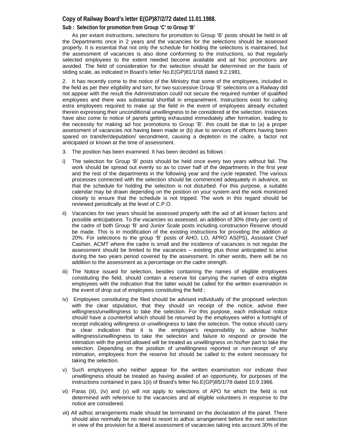#### **Copy of Railway Board's letter E(GP)87/2/72 dated 11.01.1988.**

#### **Sub : Selection for promotion from Group 'C' to Group 'B'**

 As per extant instructions, selections for promotion to Group 'B' posts should be held in all the Departments once in 2 years and the vacancies for the selections should be assessed properly. It is essential that not only the schedule for holding the selections is maintained, but the assessment of vacancies is also done conforming to the instructions, so that regularly selected employees to the extent needed become available and ad hoc promotions are avoided. The field of consideration for the selection should be determined on the basis of sliding scale, as indicated in Board's letter No.E(GP)81/1/18 dated 9.2.1981.

2. It has recently come to the notice of the Ministry that some of the employees, included in the field as per their eligibility and turn, for two successive Group 'B' selections on a Railway did not appear with the result the Administration could not secure the required number of qualified employees and there was substantial shortfall in empanelment. Instructions exist for calling extra employees required to make up the field in the event of employees already included therein expressing their unconditional unwillingness to be considered at the selection. Instances have also come to notice of panels getting exhausted immediately after formation, leading to the necessity for making ad hoc promotions to Group 'B'. this could be due to (a) a proper assessment of vacancies not having been made or (b) due to services of officers having been spared on transfer/deputation/ secondment, causing a depletion in the cadre, a factor not anticipated or known at the time of assessment.

- 3. The position has been examined. It has been decided as follows :
- i) The selection for Group 'B' posts should be held once every two years without fail. The work should be spread out evenly so as to cover half of the departments in the first year and the rest of the departments in the following year and the cycle repeated. The various processes connected with the selection should be commenced adequately in advance, so that the schedule for holding the selection is not disturbed. For this purpose, a suitable calendar may be drawn depending on the position on your system and the work monitored closely to ensure that the schedule is not tripped. The work in this regard should be reviewed periodically at the level of C.P.O.
- Vacancies for two years should be assessed properly with the aid of all known factors and possible anticipations. To the vacancies so assessed, an addition of 30% (thirty per cent) of the cadre of both Group 'B' and Junior Scale posts including construction Reserve should be made. This is in modification of the existing instructions for providing the addition at 20%. For selections to the group 'B' posts of AHO, LO, APRO AS(PS), Assistant Chief Cashier, ACMT where the cadre is small and the incidence of vacancies is not regular the assessment should be limited to the vacancies – existing plus those anticipated to arise during the two years period covered by the assessment. In other words, there will be no addition to the assessment as a percentage on the cadre strength.
- iii) The Notice issued for selection, besides containing the names of eligible employees constituting the field, should contain a reserve list carrying the names of extra eligible employees with the indication that the latter would be called for the written examination in the event of drop out of employees constituting the field ;
- iv) Employees constituting the filed should be advised individually of the proposed selection with the clear stipulation, that they should on receipt of the notice, advise their willingness/unwillingness to take the selection. For this purpose, each individual notice should have a counterfoil which should be returned by the employees within a fortnight of receipt indicating willingness or unwillingness to take the selection. The notice should carry a clear indication that it is the employee's responsibility to advise his/her willingness/unwillingness to take the selection and failure to respond or provide the intimation with the period allowed will be treated as unwillingness on his/her part to take the selection. Depending on the position of unwillingness reported or non-receipt of any intimation, employees from the reserve list should be called to the extent necessary for taking the selection.
- v) Such employees who neither appear for the written examination nor indicate their unwillingness should be treated as having availed of an opportunity, for purposes of the instructions contained in para 1(ii) of Board's letter No.E(GP)85/1/78 dated 10.9.1986.
- vi) Paras (iii), (iv) and (v) will not apply to selections of APO for which the field is not determined with reference to the vacancies and all eligible volunteers in response to the notice are considered.
- vii) All adhoc arrangements made should be terminated on the declaration of the panel. There should also normally be no need to resort to adhoc arrangement before the next selection in view of the provision for a liberal assessment of vacancies taking into account 30% of the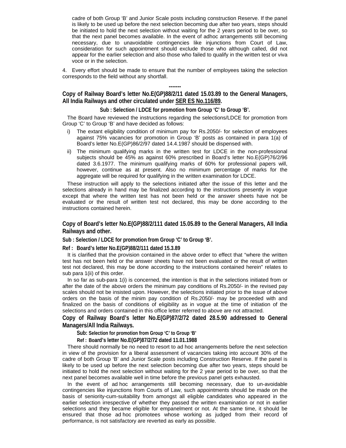cadre of both Group 'B' and Junior Scale posts including construction Reserve. If the panel is likely to be used up before the next selection becoming due after two years, steps should be initiated to hold the next selection without waiting for the 2 years period to be over, so that the next panel becomes available. In the event of adhoc arrangements still becoming necessary, due to unavoidable contingencies like injunctions from Court of Law, consideration for such appointment should exclude those who although called, did not appear for the earlier selection and also those who failed to qualify in the written test or viva voce or in the selection.

4. Every effort should be made to ensure that the number of employees taking the selection corresponds to the field without any shortfall.

**------- Copy of Railway Board's letter No.E(GP)88/2/11 dated 15.03.89 to the General Managers, All India Railways and other circulated under SER ES No.116/89.** 

**Sub : Selection / LDCE for promotion from Group 'C' to Group 'B'.** 

The Board have reviewed the instructions regarding the selections/LDCE for promotion from Group 'C' to Group 'B' and have decided as follows:

- i) The extant eligibility condition of minimum pay for Rs.2050/- for selection of employees against 75% vacancies for promotion in Group 'B' posts as contained in para 1(a) of Board's letter No.E(GP)86/2/97 dated 14.4.1987 should be dispensed with.
- ii) The minimum qualifying marks in the written test for LDCE in the non-professional subjects should be 45% as against 60% prescribed in Board's letter No.E(GP)76/2/96 dated 3.6.1977. The minimum qualifying marks of 60% for professional papers will, however, continue as at present. Also no minimum percentage of marks for the aggregate will be required for qualifying in the written examination for LDCE.

These instruction will apply to the selections initiated after the issue of this letter and the selections already in hand may be finalized according to the instructions presently in vogue except that where the written test has not been held or the answer sheets have not be evaluated or the result of written test not declared, this may be done according to the instructions contained herein.

#### **Copy of Board's letter No.E(GP)88/2/111 dated 15.05.89 to the General Managers, All India Railways and other.**

**Sub : Selection / LDCE for promotion from Group 'C' to Group 'B'.** 

**Ref : Board's letter No.E(GP)88/2/111 dated 15.3.89** 

It is clarified that the provision contained in the above order to effect that "where the written test has not been held or the answer sheets have not been evaluated or the result of written test not declared, this may be done according to the instructions contained herein" relates to sub para 1(ii) of this order.

In so far as sub-para 1(i) is concerned, the intention is that in the selections initiated from or after the date of the above orders the minimum pay conditions of Rs.2050/- in the revised pay scales should not be insisted upon. However, the selections initiated prior to the issue of above orders on the basis of the minim pay condition of Rs.2050/- may be proceeded with and finalized on the basis of conditions of eligibility as in vogue at the time of initiation of the selections and orders contained in this office letter referred to above are not attracted.

**Copy of Railway Board's letter No.E(GP)87/2/72 dated 28.5.90 addressed to General Managers/All India Railways.** 

**Sub: Selection for promotion from Group 'C' to Group 'B'** 

**Ref : Board's letter No.E(GP)87/2/72 dated 11.01.1988**

There should normally be no need to resort to ad hoc arrangements before the next selection in view of the provision for a liberal assessment of vacancies taking into account 30% of the cadre of both Group 'B' and Junior Scale posts including Construction Reserve. If the panel is likely to be used up before the next selection becoming due after two years, steps should be initiated to hold the next selection without waiting for the 2 year period to be over, so that the next panel becomes available well in time before the previous panel gets exhausted.

In the event of ad hoc arrangements still becoming necessary, due to un-avoidable contingencies like injunctions from Courts of Law, such appointments should be made on the basis of seniority-cum-suitability from amongst all eligible candidates who appeared in the earlier selection irrespective of whether they passed the written examination or not in earlier selections and they became eligible for empanelment or not. At the same time, it should be ensured that those ad hoc promotees whose working as judged from their record of performance, is not satisfactory are reverted as early as possible.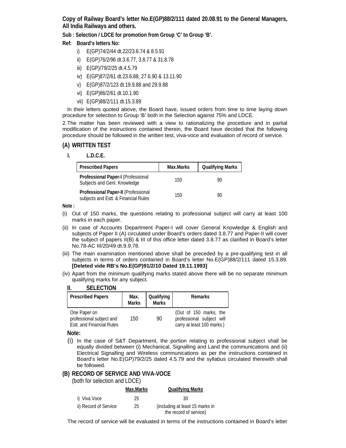**Copy of Railway Board's letter No.E(GP)88/2/111 dated 20.08.91 to the General Managers, All India Railways and others.** 

**Sub : Selection / LDCE for promotion from Group 'C' to Group 'B'.** 

## **Ref: Board's letters No:**

- i) E(GP)74/2/44 dt.22/23.6.74 & 8.5.91
- ii) E(GP)76/2/96 dt.3.6.77, 3.8.77 & 31.8.78
- iii) E(GP)/79/2/25 dt.4.5.79
- iv) E(GP)87/2/61 dt.23.6.88, 27.6.90 & 13.11.90
- v) E(GP)87/2/123 dt.19.9.88 and 29.9.88
- vi) E(GP)86/2/61 dt.10.1.90
- vii) E(GP)88/2/111 dt.15.3.89

In their letters quoted above, the Board have, issued orders from time to time laying down procedure for selection to Group 'B' both in the Selection against 75% and LDCE.

2. The matter has been reviewed with a view to rationalizing the procedure and in partial modification of the instructions contained therein, the Board have decided that the following procedure should be followed in the written test, viva-voce and evaluation of record of service.

## **(A) WRITTEN TEST**

**I. L.D.C.E.** 

| <b>Prescribed Papers</b>                                                    | Max.Marks | <b>Qualifying Marks</b> |
|-----------------------------------------------------------------------------|-----------|-------------------------|
| Professional Paper-I (Professional<br>Subjects and Genl. Knowledge          | 150       | 90                      |
| Professional Paper-II (Professional<br>subjects and Estt. & Financial Rules | 150       | 90                      |

**Note :** 

- (i) Out of 150 marks, the questions relating to professional subject will carry at least 100 marks in each paper.
- (ii) In case of Accounts Department Paper-I will cover General Knowledge & English and subjects of Paper II (A) circulated under Board's orders dated 3.8.77 and Paper-II will cover the subject of papers II(B) & III of this office letter dated 3.8.77 as clarified in Board's letter No.78-AC III/20/49 dt.9.9.78.
- (iii) The main examination mentioned above shall be preceded by a pre-qualifying test in all subjects in terms of orders contained in Board's letter No.E(GP)88/2/111 dated 15.3.89. **[Deleted vide RB's No.E(GP)91/2/10 Dated 19.11.1993]**
- (iv) Apart from the minimum qualifying marks stated above there will be no separate minimum qualifying marks for any subject.

#### **II. SELECTION**

| <b>Prescribed Papers</b>                                                     | Max.<br><b>Marks</b> | Qualifying<br><b>Marks</b> | Remarks                                                                           |
|------------------------------------------------------------------------------|----------------------|----------------------------|-----------------------------------------------------------------------------------|
| One Paper on<br>professional subject and<br><b>Estt. and Financial Rules</b> | 150.                 | 90                         | (Out of 150 marks, the<br>professional subject will<br>carry at least 100 marks.) |

**Note:** 

(i) In the case of S&T Department, the portion relating to professional subject shall be equally divided between (i) Mechanical, Signalling and Land the communications and (ii) Electrical Signalling and Wireless communications as per the instructions contained in Board's letter No.E(GP)79/2/25 dated 4.5.79 and the syllabus circulated therewith shall be followed.

## **(B) RECORD OF SERVICE AND VIVA-VOCE**

(both for selection and LDCE)

|                       | Max.Marks | <b>Qualifying Marks</b>         |
|-----------------------|-----------|---------------------------------|
| i) Viva Voce          | 25        | 30                              |
| ii) Record of Service | 25        | (including at least 15 marks in |
|                       |           | the record of service)          |

The record of service will be evaluated in terms of the instructions contained in Board's letter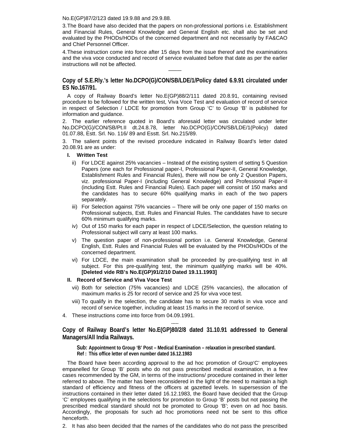No.E(GP)87/2/123 dated 19.9.88 and 29.9.88.

3. The Board have also decided that the papers on non-professional portions i.e. Establishment and Financial Rules, General Knowledge and General English etc. shall also be set and evaluated by the PHODs/HODs of the concerned department and not necessarily by FA&CAO and Chief Personnel Officer.

4. These instruction come into force after 15 days from the issue thereof and the examinations and the viva voce conducted and record of service evaluated before that date as per the earlier instructions will not be affected.

———

**Copy of S.E.Rly.'s letter No.DCPO(G)/CON/SB/LDE/1/Policy dated 6.9.91 circulated under ES No.167/91.** 

A copy of Railway Board's letter No.E(GP)88/2/111 dated 20.8.91, containing revised procedure to be followed for the written test, Viva Voce Test and evaluation of record of service in respect of Selection / LDCE for promotion from Group 'C' to Group 'B' is published for information and guidance.

2. The earlier reference quoted in Board's aforesaid letter was circulated under letter No.DCPO(G)/CON/SB/Pt.II dt.24.8.78, letter No.DCPO(G)/CON/SB/LDE/1(Policy) dated 01.07.88, Estt. Srl. No. 116/ 89 and Esstt. Srl. No.215/89.

3. The salient points of the revised procedure indicated in Railway Board's letter dated 20.08.91 are as under:

- **I. Written Test** 
	- ii) For LDCE against 25% vacancies Instead of the existing system of setting 5 Question Papers (one each for Professional paper-I, Professional Paper-II, General Knowledge, Establishment Rules and Financial Rules), there will now be only 2 Question Papers, viz. professional Paper-I (including General Knowledge) and Professional Paper-II (including Estt. Rules and Financial Rules). Each paper will consist of 150 marks and the candidates has to secure 60% qualifying marks in each of the two papers separately.
	- iii) For Selection against 75% vacancies There will be only one paper of 150 marks on Professional subjects, Estt. Rules and Financial Rules. The candidates have to secure 60% minimum qualifying marks.
	- iv) Out of 150 marks for each paper in respect of LDCE/Selection, the question relating to Professional subject will carry at least 100 marks.
	- v) The question paper of non-professional portion i.e. General Knowledge, General English, Estt. Rules and Financial Rules will be evaluated by the PHODs/HODs of the concerned department.
	- vi) For LDCE, the main examination shall be proceeded by pre-qualifying test in all subject. For this pre-qualifying test, the minimum qualifying marks will be 40%. **[Deleted vide RB's No.E(GP)91/2/10 Dated 19.11.1993]**

#### **II. Record of Service and Viva Voce Test**

- vii) Both for selection (75% vacancies) and LDCE (25% vacancies), the allocation of maximum marks is 25 for record of service and 25 for viva voce test.
- viii) To qualify in the selection, the candidate has to secure 30 marks in viva voce and record of service together, including at least 15 marks in the record of service.
- 4. These instructions come into force from 04.09.1991.

----- **Copy of Railway Board's letter No.E(GP)80/2/8 dated 31.10.91 addressed to General Managers/All India Railways.** 

**Sub: Appointment to Group 'B' Post – Medical Examination – relaxation in prescribed standard. Ref : This office letter of even number dated 16.12.1983** 

The Board have been according approval to the ad hoc promotion of Group'C' employees empanelled for Group 'B' posts who do not pass prescribed medical examination, in a few cases recommended by the GM, in terms of the instructions/ procedure contained in their letter referred to above. The matter has been reconsidered in the light of the need to maintain a high standard of efficiency and fitness of the officers at gazetted levels. In supersession of the instructions contained in their letter dated 16.12.1983, the Board have decided that the Group 'C' employees qualifying in the selections for promotion to Group 'B' posts but not passing the prescribed medical standard should not be promoted to Group 'B'; even on ad hoc basis. Accordingly, the proposals for such ad hoc promotions need not be sent to this office henceforth.

2. It has also been decided that the names of the candidates who do not pass the prescribed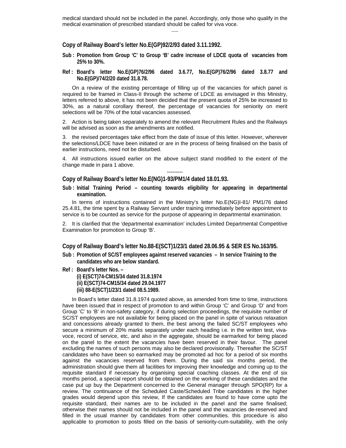medical standard should not be included in the panel. Accordingly, only those who qualify in the medical examination of prescribed standard should be called for viva voce. ------

**Copy of Railway Board's letter No.E(GP)92/2/93 dated 3.11.1992.** 

- **Sub : Promotion from Group 'C' to Group 'B' cadre increase of LDCE quota of vacancies from 25% to 30%.**
- **Ref : Board's letter No.E(GP)76/2/96 dated 3.6.77, No.E(GP)76/2/96 dated 3.8.77 and No.E(GP)/74/2/20 dated 31.8.78.**

 On a review of the existing percentage of filling up of the vacancies for which panel is required to be framed in Class-II through the scheme of LDCE as envisaged in this Ministry, letters referred to above, it has not been decided that the present quota of 25% be increased to 30%, as a natural corollary thereof, the percentage of vacancies for seniority on merit selections will be 70% of the total vacancies assessed.

2. Action is being taken separately to amend the relevant Recruitment Rules and the Railways will be advised as soon as the amendments are notified.

3. the revised percentages take effect from the date of issue of this letter. However, wherever the selections/LDCE have been initiated or are in the process of being finalised on the basis of earlier instructions, need not be disturbed.

4. All instructions issued earlier on the above subject stand modified to the extent of the change made in para 1 above. ---------

**Copy of Railway Board's letter No.E(NG)1-93/PM1/4 dated 18.01.93.** 

**Sub : Initial Training Period – counting towards eligibility for appearing in departmental examination.** 

 In terms of instructions contained in the Ministry's letter No.E(NG)I-81/ PM1/76 dated 25.4.81, the time spent by a Railway Servant under training immediately before appointment to service is to be counted as service for the purpose of appearing in departmental examination.

2. It is clarified that the 'departmental examination' includes Limited Departmental Competitive Examination for promotion to Group 'B'.

#### **Copy of Railway Board's letter No.88-E(SCT)1/23/1 dated 28.06.95 & SER ES No.163/95.**

- **Sub : Promotion of SC/ST employees against reserved vacancies In service Training to the candidates who are below standard.**
- **Ref : Board's letter Nos. (i) E(SCT)74-CM15/34 dated 31.8.1974 (ii) E(SCT)74-CM15/34 dated 29.04.1977 (iii) 88-E(SCT)1/23/1 dated 08.5.1989.**

 In Board's letter dated 31.8.1974 quoted above, as amended from time to time, instructions have been issued that in respect of promotion to and within Group 'C' and Group 'D' and from Group 'C' to 'B' in non-safety category, if during selection proceedings, the requisite number of SC/ST employees are not available for being placed on the panel in spite of various relaxation and concessions already granted to them, the best among the failed SC/ST employees who secure a minimum of 20% marks separately under each heading i.e. in the written test, vivavoce, record of service, etc, and also in the aggregate, should be earmarked for being placed on the panel to the extent the vacancies have been reserved in their favour. The panel excluding the names of such persons may also be declared provisionally. Thereafter the SC/ST candidates who have been so earmarked may be promoted ad hoc for a period of six months against the vacancies reserved from them. During the said six months period, the administration should give them all facilities for improving their knowledge and coming up to the requisite standard if necessary by organising special coaching classes. At the end of six months period, a special report should be obtained on the working of these candidates and the case put up buy the Department concerned to the General manager through SPO(RP) for a review. The continuance of the Scheduled Caste/Scheduled Tribe candidates in the higher grades would depend upon this review, If the candidates are found to have come upto the requisite standard, their names are to be included in the panel and the same finalised; otherwise their names should not be included in the panel and the vacancies de-reserved and filled in the usual manner by candidates from other communities. this procedure is also applicable to promotion to posts filled on the basis of seniority-cum-suitability, with the only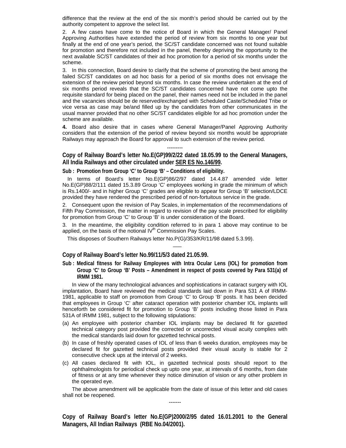difference that the review at the end of the six month's period should be carried out by the authority competent to approve the select list.

2. A few cases have come to the notice of Board in which the General Manager/ Panel Approving Authorities have extended the period of review from six months to one year but finally at the end of one year's period, the SC/ST candidate concerned was not found suitable for promotion and therefore not included in the panel, thereby depriving the opportunity to the next available SC/ST candidates of their ad hoc promotion for a period of six months under the scheme.

3. In this connection, Board desire to clarify that the scheme of promoting the best among the failed SC/ST candidates on ad hoc basis for a period of six months does not envisage the extension of the review period beyond six months. In case the review undertaken at the end of six months period reveals that the SC/ST candidates concerned have not come upto the requisite standard for being placed on the panel, their names need not be included in the panel and the vacancies should be de reserved/exchanged with Scheduled Caste/Scheduled Tribe or vice versa as case may be/and filled up by the candidates from other communicates in the usual manner provided that no other SC/ST candidates eligible for ad hoc promotion under the scheme are available.

**4.** Board also desire that in cases where General Manager/Panel Approving Authority considers that the extension of the period of review beyond six months would be appropriate Railways may approach the Board for approval to such extension of the review period.

## --------- **Copy of Railway Board's letter No.E(GP)99/2/22 dated 18.05.99 to the General Managers, All India Railways and other circulated under SER ES No.146/99.**

**Sub : Promotion from Group 'C' to Group 'B' – Conditions of eligibility.** 

In terms of Board's letter No.E(GP)86/2/97 dated 14.4.87 amended vide letter No.E(GP)88/2/111 dated 15.3.89 Group 'C' employees working in grade the minimum of which is Rs.1400/- and in higher Group 'C' grades are eligible to appear for Group 'B' selection/LDCE provided they have rendered the prescribed period of non-fortuitous service in the grade.

2. Consequent upon the revision of Pay Scales, in implementation of the recommendations of Fifth Pay Commission, the matter in regard to revision of the pay scale prescribed for eligibility for promotion from Group 'C' to Group 'B' is under consideration of the Board.

3. In the meantime, the eligibility condition referred to in para 1 above may continue to be applied, on the basis of the notional  $IV<sup>th</sup>$  Commission Pay Scales.

——

This disposes of Southern Railways letter No.P(G)/353/KR/11/98 dated 5.3.99).

#### **Copy of Railway Board's letter No.99/11/5/3 dated 21.05.99.**

**Sub : Medical fitness for Railway Employees with Intra Ocular Lens (IOL) for promotion from Group 'C' to Group 'B' Posts – Amendment in respect of posts covered by Para 531(a) of IRMM 1981.** 

 In view of the many technological advances and sophistications in cataract surgery with IOL implantation, Board have reviewed the medical standards laid down in Para 531 A of IRMM-1981, applicable to staff on promotion from Group 'C' to Group 'B' posts. It has been decided that employees in Group 'C' after cataract operation with posterior chamber IOL implants will henceforth be considered fit for promotion to Group 'B' posts including those listed in Para 531A of IRMM 1981, subject to the following stipulations:

- (a) An employee with posterior chamber IOL implants may be declared fit for gazetted technical category post provided the corrected or uncorrected visual acuity complies with the medical standards laid down for gazetted technical posts.
- (b) In case of freshly operated cases of IOL of less than 6 weeks duration, employees may be declared fit for gazetted technical posts provided their visual acuity is stable for 2 consecutive check ups at the interval of 2 weeks.
- (c) All cases declared fit with IOL, in gazetted technical posts should report to the ophthalmologists for periodical check up upto one year, at intervals of 6 months, from date of fitness or at any time whenever they notice diminution of vision or any other problem in the operated eye.

 The above amendment will be applicable from the date of issue of this letter and old cases shall not be reopened. -------

**Copy of Railway Board's letter No.E(GP)2000/2/95 dated 16.01.2001 to the General Managers, All Indian Railways (RBE No.04/2001).**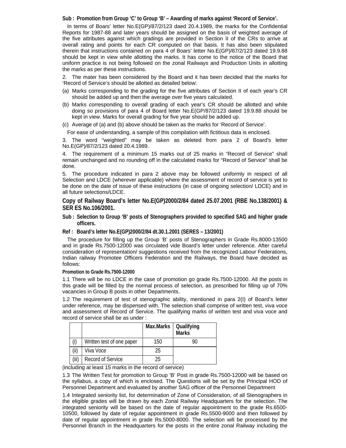**Sub : Promotion from Group 'C' to Group 'B' – Awarding of marks against 'Record of Service'.** 

In terms of Boars' letter No.E(GP)/87/2/123 daed 20.4.1989, the marks for the Confidential Reports for 1987-88 and later years should be assigned on the basis of weighted average of the five attributes against which gradings are provided in Section II of the CRs to arrive at overall rating and points for each CR computed on that basis. It has also been stipulated therein that instructions contained on para 4 of Boars' letter No.E(GP)/87/2/123 dated 19.9.88 should be kept in view while allotting the marks. It has come to the notice of the Board that uniform practice is not being followed on the zonal Railways and Production Units in allotting the marks as per these instructions.

2. The mater has been considered by the Board and it has been decided that the marks for 'Record of Service's should be allotted as detailed below:

- (a) Marks corresponding to the grading for the five attributes of Section II of each year's CR should be added up and then the average over five years calculated.
- (b) Marks corresponding to overall grading of each year's CR should be allotted and while doing so provisions of para 4 of Board letter No.E(GP/87/2/123 dated 19.9.88 should be kept in view. Marks for overall grading for five year should be added up.
- (c) Average of (a) and (b) above should be taken as the marks for 'Record of Service'.

For ease of understanding, a sample of this compilation with fictitious data is enclosed.

3. The word "weighted" may be taken as deleted from para 2 of Board's letter No.E(GP)/87/2/123 dated 20.4.1989.

4. The requirement of a minimum 15 marks out of 25 marks in "Record of Service" shall remain unchanged and no rounding off in the calculated marks for "Record of Service" shall be done.

5. The procedure indicated in para 2 above may be followed uniformly in respect of all Selection and LDCE (wherever applicable) where the assessment of record of service is yet to be done on the date of issue of these instructions (in case of ongoing selection/ LDCE) and in all future selections/LDCE.

**Copy of Railway Board's letter No.E(GP)2000/2/84 dated 25.07.2001 (RBE No.138/2001) & SER ES No.106/2001.** 

- **Sub : Selection to Group 'B' posts of Stenographers provided to specified SAG and higher grade officers.**
- **Ref : Board's letter No.E(GP)2000/2/84 dt.30.1.2001 (SERES 13/2001)**

The procedure for filling up the Group 'B' posts of Stenographers in Grade Rs.8000-13500 and in grade Rs.7500-12000 was circulated vide Board's letter under reference. After careful consideration of representation/ suggestions received from the recognized Labour Federations, Indian railway Promotee Officers Federation and the Railways, the Board have decided as follows:

**Promotion to Grade Rs.7500-12000** 

1.1 There will be no LDCE in the case of promotion go grade Rs.7500-12000. All the posts in this grade will be filled by the normal process of selection, as prescribed for filling up of 70% vacancies in Group B posts in other Departments.

1.2 The requirement of test of stenographic ability, mentioned in para 2(I) of Board's letter under reference, may be dispensed with. The selection shall comprise of written test, viva voce and assessment of Record of Service. The qualifying marks of written test and viva voce and record of service shall be as under :

|       |                           | Max.Marks | Qualifying<br><b>Marks</b> |
|-------|---------------------------|-----------|----------------------------|
| (i)   | Written test of one paper | 150       | 90                         |
| (ii)  | Viva Voce                 | 25        |                            |
| (iii) | Record of Service         | 25        |                            |

(including at least 15 marks in the record of service)

1.3 The Written Test for promotion to Group 'B' Post in grade Rs.7500-12000 will be based on the syllabus, a copy of which is enclosed. The Questions will be set by the Principal HOD of Personnel Department and evaluated by another SAG officer of the Personnel Department

1.4 Integrated seniority list, for determination of Zone of Consideration, of all Stenographers in the eligible grades will be drawn by each Zonal Railway Headquarters for the selection. The integrated seniority will be based on the date of regular appointment to the grade Rs.6500- 10500, followed by date of regular appointment in grade Rs.5500-9000 and then followed by date of regular appointment in grade Rs.5000-8000. The selection will be processed by the Personnel Branch in the Headquarters for the posts in the entire zonal Railway including the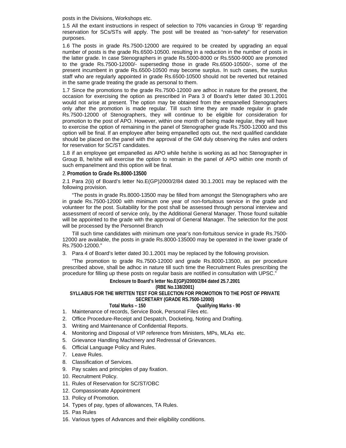posts in the Divisions, Workshops etc.

1.5 All the extant instructions in respect of selection to 70% vacancies in Group 'B' regarding reservation for SCs/STs will apply. The post will be treated as "non-safety" for reservation purposes.

1.6 The posts in grade Rs.7500-12000 are required to be created by upgrading an equal number of posts is the grade Rs.6500-10500. resulting in a reduction in the number of posts in the latter grade. In case Stenographers in grade Rs.5000-8000 or Rs.5500-9000 are promoted to the grade Rs.7500-12000/- superseding those in grade Rs.6500-10500/-, some of the present incumbent in grade Rs.6500-10500 may become surplus. In such cases, the surplus staff who are regularly appointed in grade Rs.6500-10500 should not be reverted but retained in the same grade treating the grade as personal to them.

1.7 Since the promotions to the grade Rs.7500-12000 are adhoc in nature for the present, the occasion for exercising the option as prescribed in Para 3 of Board's letter dated 30.1.2001 would not arise at present. The option may be obtained from the empanelled Stenographers only after the promotion is made regular. Till such time they are made regular in grade Rs.7500-12000 of Stenographers, they will continue to be eligible for consideration for promotion to the post of APO. However, within one month of being made regular, they will have to exercise the option of remaining in the panel of Stenographer grade Rs.7500-12000 and this option will be final. If an employee after being empanelled opts out, the next qualified candidate should be placed on the panel with the approval of the GM duly observing the rules and orders for reservation for SC/ST candidates.

1.8 if an employee get empanelled as APO while he/she is working as ad hoc Stenographer in Group B, he/she will exercise the option to remain in the panel of APO within one month of such empanelment and this option will be final.

#### 2. **Promotion to Grade Rs.8000-13500**

2.1 Para 2(ii) of Board's letter No.E(GP)2000/2/84 dated 30.1.2001 may be replaced with the following provision.

 "The posts in grade Rs.8000-13500 may be filled from amongst the Stenographers who are in grade Rs.7500-12000 with minimum one year of non-fortuitous service in the grade and volunteer for the post. Suitability for the post shall be assessed through personal interview and assessment of record of service only, by the Additional General Manager. Those found suitable will be appointed to the grade with the approval of General Manager. The selection for the post will be processed by the Personnel Branch

 Till such time candidates with minimum one year's non-fortuitous service in grade Rs.7500- 12000 are available, the posts in grade Rs.8000-135000 may be operated in the lower grade of Rs.7500-12000."

3. Para 4 of Board's letter dated 30.1.2001 may be replaced by the following provision.

 "The promotion to grade Rs.7500-12000 and grade Rs.8000-13500, as per procedure prescribed above, shall be adhoc in nature till such time the Recruitment Rules prescribing the procedure for filling up these posts on regular basis are notified in consultation with UPSC."

#### **Enclosure to Board's letter No.E(GP)/2000/2/84 dated 25.7.2001**

**(RBE No.138/2001)** 

#### **SYLLABUS FOR THE WRITTEN TEST FOR SELECTION FOR PROMOTION TO THE POST OF PRIVATE SECRETARY (GRADE RS.7500-12000)**

**Total Marks – 150 Qualifying Marks - 90** 

- 1. Maintenance of records, Service Book, Personal Files etc.
- 2. Office Procedure-Receipt and Despatch, Docketing, Noting and Drafting.
- 3. Writing and Maintenance of Confidential Reports.
- 4. Monitoring and Disposal of VIP reference from Ministers, MPs, MLAs etc.
- 5. Grievance Handling Machinery and Redressal of Grievances.
- 6. Official Language Policy and Rules.
- 7. Leave Rules.
- 8. Classification of Services.
- 9. Pay scales and principles of pay fixation.
- 10. Recruitment Policy.
- 11. Rules of Reservation for SC/ST/OBC
- 12. Compassionate Appointment
- 13. Policy of Promotion.
- 14. Types of pay, types of allowances, TA Rules.
- 15. Pas Rules
- 16. Various types of Advances and their eligibility conditions.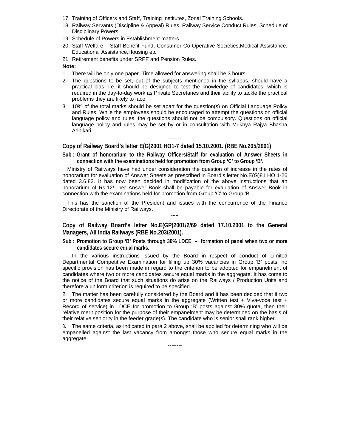- 17. Training of Officers and Staff, Training Institutes, Zonal Training Schools.
- 18. Railway Servants (Discipline & Appeal) Rules, Railway Service Conduct Rules, Schedule of Disciplinary Powers.
- 19. Schedule of Powers in Establishment matters.
- 20. Staff Welfare Staff Benefit Fund, Consumer Co-Operative Societies,Medical Assistance, Educational Assistance,Housing etc
- 21. Retirement benefits under SRPF and Pension Rules.

#### **Note:**

- 1. There will be only one paper. Time allowed for answering shall be 3 hours.
- 2. The questions to be set, out of the subjects mentioned in the syllabus, should have a practical bias, i.e. it should be designed to test the knowledge of candidates, which is required in the day-to-day work as Private Secretaries and their ability to tackle the practical problems they are likely to face.
- 3. 10% of the total marks should be set apart for the question(s) on Official Language Policy and Rules. While the employees should be encouraged to attempt the questions on official language policy and rules, the questions should not be compulsory. Questions on official language policy and rules may be set by or in consultation with Mukhya Rajya Bhasha Adhikari.

## **Copy of Railway Board's letter E(G)2001 HO1-7 dated 15.10.2001. (RBE No.205/2001)**

**Sub : Grant of honorarium to the Railway Officers/Staff for evaluation of Answer Sheets in connection with the examinations held for promotion from Group 'C' to Group 'B'.** 

-------

 Ministry of Railways have had under consideration the question of increase in the rates of honorarium for evaluation of Answer Sheets as prescribed in Board's letter No.E(G)81 HO 1-26 dated 3.6.82. It has now been decided in modification of the above instructions that an honorarium of Rs.12/- per Answer Book shall be payable for evaluation of Answer Book in connection with the examinations held for promotion from Group 'C' to Group 'B'.

 This has the sanction of the President and issues with the concurrence of the Finance Directorate of the Ministry of Railways. -----

**Copy of Railway Board's letter No.E(GP)2001/2/69 dated 17.10.2001 to the General Managers, All India Railways (RBE No.203/2001).** 

**Sub : Promotion to Group 'B' Posts through 30% LDCE – formation of panel when two or more candidates secure equal marks.** 

 In the various instructions issued by the Board in respect of conduct of Limited Departmental Competitive Examination for filling up 30% vacancies in Group 'B' posts, no specific provision has been made in regard to the criterion to be adopted for empanelment of candidates where two or more candidates secure equal marks in the aggregate. It has come to the notice of the Board that such situations do arise on the Railways / Production Units and therefore a uniform criterion is required to be specified.

2. The matter has been carefully considered by the Board and it has been decided that if two or more candidates secure equal marks in the aggregate (Written test + Viva-voce test + Record of service) in LDCE for promotion to Group 'B' posts against 30% quota, then their relative merit position for the purpose of their empanelment may be determined on the basis of their relative seniority in the feeder grade(s). The candidate who is senior shall rank higher.

3. The same criteria, as indicated in para 2 above, shall be applied for determining who will be empanelled against the last vacancy from amongst those who secure equal marks in the aggregate.

--------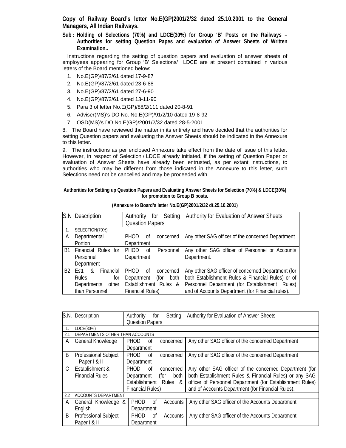**Copy of Railway Board's letter No.E(GP)2001/2/32 dated 25.10.2001 to the General Managers, All Indian Railways.** 

**Sub : Holding of Selections (70%) and LDCE(30%) for Group 'B' Posts on the Railways – Authorities for setting Question Papes and evaluation of Answer Sheets of Written Examination..** 

Instructions regarding the setting of question papers and evaluation of answer sheets of employees appearing for Group 'B' Selections/ LDCE are at present contained in various letters of the Board mentioned below:

- 1. No.E(GP)/87/2/61 dated 17-9-87
- 2. No.E(GP)/87/2/61 dated 23-6-88
- 3. No.E(GP)/87/2/61 dated 27-6-90
- 4. No.E(GP)/87/2/61 dated 13-11-90
- 5. Para 3 of letter No.E(GP)/88/2/111 dated 20-8-91
- 6. Adviser(MS)'s DO No. No.E(GP)/91/2/10 dated 19-8-92
- 7. OSD(MS)'s DO No.E(GP)/2001/2/32 dated 28-5-2001.

8. The Board have reviewed the matter in its entirety and have decided that the authorities for setting Question papers and evaluating the Answer Sheets should be indicated in the Annexure to this letter.

9. The instructions as per enclosed Annexure take effect from the date of issue of this letter. However, in respect of Selection / LDCE already initiated, if the setting of Question Paper or evaluation of Answer Sheets have already been entrusted, as per extant instructions, to authorities who may be different from those indicated in the Annexure to this letter, such Selections need not be cancelled and may be proceeded with.

**Authorities for Setting up Question Papers and Evaluating Answer Sheets for Selection (70%) & LDCE(30%) for promotion to Group B posts.** 

|                | S.N Description         | for Setting<br>Authority       | Authority for Evaluation of Answer Sheets          |  |  |  |
|----------------|-------------------------|--------------------------------|----------------------------------------------------|--|--|--|
|                |                         | <b>Question Papers</b>         |                                                    |  |  |  |
| $\mathbf{1}$ . | SELECTION(70%)          |                                |                                                    |  |  |  |
| A              | Departmental            | <b>PHOD</b><br>concerned<br>Οf | Any other SAG officer of the concerned Department  |  |  |  |
|                | Portion                 | Department                     |                                                    |  |  |  |
| B1.            | Financial Rules for     | <b>PHOD</b><br>Personnel<br>0f | Any other SAG officer of Personnel or Accounts     |  |  |  |
|                | Personnel               | Department                     | Department.                                        |  |  |  |
|                | Department              |                                |                                                    |  |  |  |
| B2             | Financial<br>Estt.<br>& | <b>PHOD</b><br>Οf<br>concerned | Any other SAG officer of concerned Department (for |  |  |  |
|                | <b>Rules</b><br>for     | Department<br>(for<br>both     | both Establishment Rules & Financial Rules) or of  |  |  |  |
|                | Departments<br>other    | Establishment Rules &          | Personnel Department (for Establishment Rules)     |  |  |  |
|                | than Personnel          | <b>Financial Rules)</b>        | and of Accounts Department (for Financial rules).  |  |  |  |

**(Annexure to Board's letter No.E(GP)2001/2/32 dt.25.10.2001)** 

| S.N.          | Description                      | Authority<br>Setting<br>for          | Authority for Evaluation of Answer Sheets                 |
|---------------|----------------------------------|--------------------------------------|-----------------------------------------------------------|
|               |                                  | <b>Question Papers</b>               |                                                           |
|               | LDCE(30%)                        |                                      |                                                           |
| 2.1           | DEPARTMENTS OTHER THAN ACCOUNTS  |                                      |                                                           |
| A             | General Knowledge                | PHOD<br>0f<br>concerned              | Any other SAG officer of the concerned Department         |
|               |                                  | Department                           |                                                           |
| B             | <b>Professional Subject</b>      | <b>PHOD</b><br>$\alpha$<br>concerned | Any other SAG officer of the concerned Department         |
|               | $-$ Paper $\vert \& \vert \vert$ | Department                           |                                                           |
| $\mathcal{C}$ | Establishment &                  | <b>PHOD</b><br>0f<br>concerned       | Any other SAG officer of the concerned Department (for    |
|               | <b>Financial Rules</b>           | Department<br>both<br>(for           | both Establishment Rules & Financial Rules) or any SAG    |
|               |                                  | Establishment Rules &                | officer of Personnel Department (for Establishment Rules) |
|               |                                  | <b>Financial Rules)</b>              | and of Accounts Department (for Financial Rules).         |
| 2.2           | ACCOUNTS DEPARTMENT              |                                      |                                                           |
| A             | General Knowledge &              | PHOD<br>Accounts<br>of               | Any other SAG officer of the Accounts Department          |
|               | English                          | Department                           |                                                           |
| B             | Professional Subject -           | <b>PHOD</b><br>Accounts<br>of        | Any other SAG officer of the Accounts Department          |
|               | Paper   & II                     | Department                           |                                                           |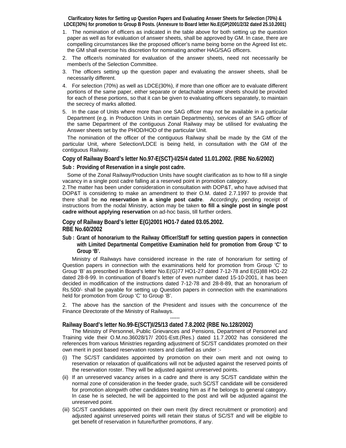**Clarificatory Notes for Setting up Question Papers and Evaluating Answer Sheets for Selection (70%) & LDCE(30%) for promotion to Group B Posts. (Annexure to Board letter No.E(GP)2001/2/32 dated 25.10.2001)** 

- 1. The nomination of officers as indicated in the table above for both setting up the question paper as well as for evaluation of answer sheets, shall be approved by GM. In case, there are compelling circumstances like the proposed officer's name being borne on the Agreed list etc. the GM shall exercise his discretion for nominating another HAG/SAG officers.
- 2. The officer/s nominated for evaluation of the answer sheets, need not necessarily be member/s of the Selection Committee.
- 3. The officers setting up the question paper and evaluating the answer sheets, shall be necessarily different.
- 4. For selection (70%) as well as LDCE(30%), if more than one officer are to evaluate different portions of the same paper, either separate or detachable answer sheets should be provided for each of these portions, so that it can be given to evaluating officers separately, to maintain the secrecy of marks allotted.
- 5. In the case of Units where more than one SAG officer may not be available in a particular Department (e.g. in Production Units in certain Departments), services of an SAG officer of the same Department of the contiguous Zonal Railway may be utilised for evaluating the Answer sheets set by the PHOD/HOD of the particular Unit.

 The nomination of the officer of the contiguous Railway shall be made by the GM of the particular Unit, where Selection/LDCE is being held, in consultation with the GM of the contiguous Railway.

**Copy of Railway Board's letter No.97-E(SCT)-I/25/4 dated 11.01.2002. (RBE No.6/2002)** 

**Sub : Providing of Reservation in a single post cadre.** 

 Some of the Zonal Railway/Production Units have sought clarification as to how to fill a single vacancy in a single post cadre falling at a reserved point in promotion category.

2. The matter has been under consideration in consultation with DOP&T, who have advised that DOP&T is considering to make an amendment to their O.M. dated 2.7.1997 to provide that there shall be **no reservation in a single post cadre**. Accordingly, pending receipt of instructions from the nodal Ministry, action may be taken **to fill a single post in single post cadre without applying reservation** on ad-hoc basis, till further orders.

**Copy of Railway Board's letter E(G)2001 HO1-7 dated 03.05.2002. RBE No.60/2002** 

**Sub : Grant of honorarium to the Railway Officer/Staff for setting question papers in connection with Limited Departmental Competitive Examination held for promotion from Group 'C' to Group 'B'.** 

 Ministry of Railways have considered increase in the rate of honorarium for setting of Question papers in connection with the examinations held for promotion from Group 'C' to Group 'B' as prescribed in Board's letter No.E(G)77 HO1-27 dated 7-12-78 and E(G)88 HO1-22 dated 28-8-99. In continuation of Board's letter of even number dated 15-10-2001, it has been decided in modification of the instructions dated 7-12-78 and 28-8-89, that an honorarium of Rs.500/- shall be payable for setting up Question papers in connection with the examinations held for promotion from Group 'C' to Group 'B'.

2. The above has the sanction of the President and issues with the concurrence of the Finance Directorate of the Ministry of Railways. ------

#### **Railway Board's letter No.99-E(SCT)I/25/13 dated 7.8.2002 (RBE No.128/2002)**

The Ministry of Personnel, Public Grievances and Pensions, Department of Personnel and Training vide their O.M.no.36028/17/ 2001-Estt.(Res.) dated 11.7.2002 has considered the references from various Ministries regarding adjustment of SC/ST candidates promoted on their own merit in post based reservation rosters and clarified as under :-

- (i) The SC/ST candidates appointed by promotion on their own merit and not owing to reservation or relaxation of qualifications will not be adjusted against the reserved points of the reservation roster. They will be adjusted against unreserved points.
- (ii) If an unreserved vacancy arises in a cadre and there is any SC/ST candidate within the normal zone of consideration in the feeder grade, such SC/ST candidate will be considered for promotion alongwith other candidates treating him as if he belongs to general category. In case he is selected, he will be appointed to the post and will be adjusted against the unreserved point.
- (iii) SC/ST candidates appointed on their own merit (by direct recruitment or promotion) and adjusted against unreserved points will retain their status of SC/ST and will be eligible to get benefit of reservation in future/further promotions, if any.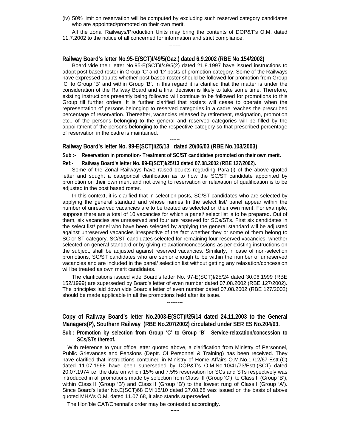(iv) 50% limit on reservation will be computed by excluding such reserved category candidates who are appointed/promoted on their own merit.

All the zonal Railways/Production Units may bring the contents of DOP&T's O.M. dated 11.7.2002 to the notice of all concerned for information and strict compliance. -------

#### **Railway Board's letter No.95-E(SCT)I/49/5(Gaz.) dated 6.9.2002 (RBE No.154/2002)**

Board vide their letter No.95-E(SCT)I/49/5(2) dated 21.8.1997 have issued instructions to adopt post based roster in Group 'C' and 'D' posts of promotion category. Some of the Railways have expressed doubts whether post based roster should be followed for promotion from Group 'C' to Group 'B' and within Group 'B'. In this regard it is clarified that the matter is under the consideration of the Railway Board and a final decision is likely to take some time. Therefore, existing instructions presently being followed will continue to be followed for promotions to this Group till further orders. It is further clarified that rosters will cease to operate when the representation of persons belonging to reserved categories in a cadre reaches the prescribed percentage of reservation. Thereafter, vacancies released by retirement, resignation, promotion etc., of the persons belonging to the general and reserved categories will be filled by the appointment of the persons belonging to the respective category so that prescribed percentage of reservation in the cadre is maintained.

#### **Railway Board's letter No. 99-E(SCT)I/25/13 dated 20/06/03 (RBE No.103/2003)**

**Sub :- Reservation in promotion- Treatment of SC/ST candidates promoted on their own merit.** 

------

**Ref:- Railway Board's letter No. 99-E(SCT)I/25/13 dated 07.08.2002 (RBE 127/2002).** 

Some of the Zonal Railways have raised doubts regarding Para-(i) of the above quoted letter and sought a categorical clarification as to how the SC/ST candidate appointed by promotion on their own merit and not owing to reservation or relaxation of qualification is to be adjusted in the post based roster.

In this context, it is clarified that in selection posts, SC/ST candidates who are selected by applying the general standard and whose names In the select list/ panel appear within the number of unreserved vacancies are to be treated as selected on their own merit. For example, suppose there are a total of 10 vacancies for which a panel/ select list is to be prepared. Out of them, six vacancies are unreserved and four are reserved for SCs/STs. First six candidates in the select list/ panel who have been selected by applying the general standard will be adjusted against unreserved vacancies irrespective of the fact whether they or some of them belong to SC or ST category. SC/ST candidates selected for remaining four reserved vacancies, whether selected on general standard or by giving relaxation/concessions as per existing instructions on the subject, shall be adjusted against reserved vacancies. Similarly, in case of non-selection promotions, SC/ST candidates who are senior enough to be within the number of unreserved vacancies and are included in the panel/ selection list without getting any relaxation/concession will be treated as own merit candidates.

The clarifications issued vide Board's letter No. 97-E(SCT)I/25/24 dated 30.06.1999 (RBE 152/1999) are superseded by Board's letter of even number dated 07.08.2002 (RBE 127/2002). The principles laid down vide Board's letter of even number dated 07.08.2002 (RBE 127/2002) should be made applicable in all the promotions held after its issue.

---------

## **Copy of Railway Board's letter No.2003-E(SCT)I/25/14 dated 24.11.2003 to the General Managers(P), Southern Railway (RBE No.207/2002) circulated under SER ES No.204/03.**

**Sub : Promotion by selection from Group 'C' to Group 'B' Service-relaxation/concession to SCs/STs thereof.** 

With reference to your office letter quoted above, a clarification from Ministry of Personnel, Public Grievances and Pensions (Deptt. Of Personnel & Training) has been received. They have clarified that instructions contained in Ministry of Home Affairs O.M.No.1./12/67-Estt.(C) dated 11.07.1968 have been superseded by DOP&T's O.M.No.10/41/73/Estt.(SCT) dated 20.07.1974 i.e. the date on which 15% and 7.5% reservation for SCs and STs respectively was introduced in all promotions made by selection from Class III (Group 'C') to Class II (Group 'B'), within Class II (Group 'B') and Class II (Group 'B') to the lowest rung of Class I (Group 'A'). Since Board's letter No.E(SCT)68 CM 15/10 dated 27.08.68 was issued on the basis of above quoted MHA's O.M. dated 11.07.68, it also stands superseded.

The Hon'ble CAT/Chennai's order may be contested accordingly.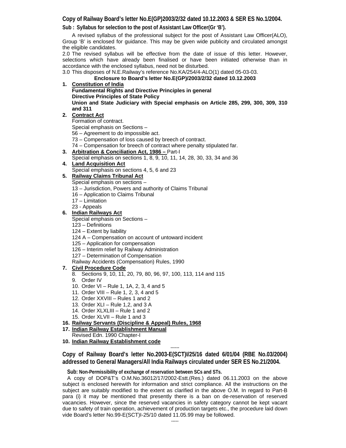#### **Copy of Railway Board's letter No.E(GP)2003/2/32 dated 10.12.2003 & SER ES No.1/2004.**

**Sub : Syllabus for selection to the post of Assistant Law Officer(Gr 'B').** 

A revised syllabus of the professional subject for the post of Assistant Law Officer(ALO), Group 'B' is enclosed for guidance. This may be given wide publicity and circulated amongst the eligible candidates.

2.0 The revised syllabus will be effective from the date of issue of this letter. However, selections which have already been finalised or have been initiated otherwise than in accordance with the enclosed syllabus, need not be disturbed.

3.0 This disposes of N.E.Railway's reference No.KA/254/4-ALO(1) dated 05-03-03.

#### **Enclosure to Board's letter No.E(GP)/2003/2/32 dated 10.12.2003**

#### **1. Constitution of India**

**Fundamental Rights and Directive Principles in general Directive Principles of State Policy Union and State Judiciary with Special emphasis on Article 285, 299, 300, 309, 310** 

**and 311** 

#### **2. Contract Act**

Formation of contract.

Special emphasis on Sections –

- 56 Agreement to do impossible act.
- 73 Compensation of loss caused by breech of contract.
- 74 Compensation for breech of contract where penalty stipulated far.
- **3. Arbitration & Conciliation Act, 1986** Part-I
- Special emphasis on sections 1, 8, 9, 10, 11, 14, 28, 30, 33, 34 and 36

# **4. Land Acquisition Act**

Special emphasis on sections 4, 5, 6 and 23

#### **5. Railway Claims Tribunal Act**

- Special emphasis on sections –
- 13 Jurisdiction, Powers and authority of Claims Tribunal
- 16 Application to Claims Tribunal
- 17 Limitation
- 23 Appeals

# **6. Indian Railways Act**

Special emphasis on Sections –

- 123 Definitions
- 124 Extent by liability
- 124 A Compensation on account of untoward incident
- 125 Application for compensation
- 126 Interim relief by Railway Administration
- 127 Determination of Compensation
- Railway Accidents (Compensation) Rules, 1990

#### **7. Civil Procedure Code**

- 8. Sections 9, 10, 11, 20, 79, 80, 96, 97, 100, 113, 114 and 115
- 9. Order IV
- 10. Order VI Rule 1, 1A, 2, 3, 4 and 5
- 11. Order VIII Rule 1, 2, 3, 4 and 5
- 12. Order XXVIII Rules 1 and 2
- 13. Order XLI Rule 1,2, and 3 A
- 14. Order XLXLIII Rule 1 and 2
- 15. Order XLVII Rule 1 and 3
- **16. Railway Servants (Discipline & Appeal) Rules, 1968**
- **17. Indian Railway Establishment Manual**
- Revised Edn. 1990 Chapter-I
- **10. Indian Railway Establishment code**

------ **Copy of Railway Board's letter No.2003-E(SCT)I/25/16 dated 6/01/04 (RBE No.03/2004) addressed to General Managers/All India Railways circulated under SER ES No.21/2004.** 

**Sub: Non-Permissibility of exchange of reservation between SCs and STs.** 

A copy of DOP&T's O.M.No.36012/17/2002-Estt.(Res.) dated 06.11.2003 on the above subject is enclosed herewith for information and strict compliance. All the instructions on the subject are suitably modified to the extent as clarified in the above O.M. In regard to Part-B para (i) it may be mentioned that presently there is a ban on de-reservation of reserved vacancies. However, since the reserved vacancies in safety category cannot be kept vacant due to safety of train operation, achievement of production targets etc., the procedure laid down vide Board's letter No.99-E(SCT)I-25/10 dated 11.05.99 may be followed.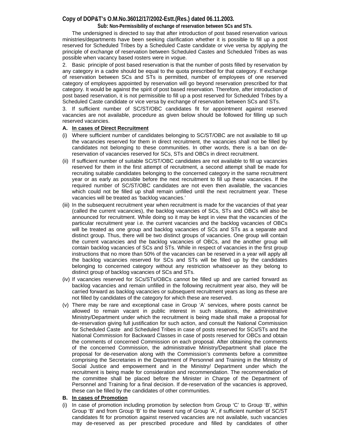## **Copy of DOP&T's O.M.No.36012/17/2002-Estt.(Res.) dated 06.11.2003.**

**Sub: Non-Permissibility of exchange of reservation between SCs and STs.** 

 The undersigned is directed to say that after introduction of post based reservation various ministries/departments have been seeking clarification whether it is possible to fill up a post reserved for Scheduled Tribes by a Scheduled Caste candidate or vive versa by applying the principle of exchange of reservation between Scheduled Castes and Scheduled Tribes as was possible when vacancy based rosters were in vogue.

2. Basic principle of post based reservation is that the number of posts filled by reservation by any category in a cadre should be equal to the quota prescribed for that category. If exchange of reservation between SCs and STs is permitted, number of employees of one reserved category of employees appointed by reservation will go beyond reservation prescribed for that category. It would be against the spirit of post based reservation. Therefore, after introduction of post based reservation, it is not permissible to fill up a post reserved for Scheduled Tribes by a Scheduled Caste candidate or vice versa by exchange of reservation between SCs and STs.

3. If sufficient number of SC/ST/OBC candidates fit for appointment against reserved vacancies are not available, procedure as given below should be followed for filling up such reserved vacancies.

#### **A. In cases of Direct Recruitment**

- (i) Where sufficient number of candidates belonging to SC/ST/OBC are not available to fill up the vacancies reserved for them in direct recruitment, the vacancies shall not be filled by candidates not belonging to these communities. In other words, there is a ban on dereservation of vacancies reserved for SCs, STs and OBCs in direct recruitment.
- (ii) If sufficient number of suitable SC/ST/OBC candidates are not available to fill up vacancies reserved for them in the first attempt of recruitment, a second attempt shall be made for recruiting suitable candidates belonging to the concerned category in the same recruitment year or as early as possible before the next recruitment to fill up these vacancies. If the required number of SC/ST/OBC candidates are not even then available, the vacancies which could not be filled up shall remain unfilled until the next recruitment year. These vacancies will be treated as 'backlog vacancies.'
- (iii) In the subsequent recruitment year when recruitment is made for the vacancies of that year (called the current vacancies), the backlog vacancies of SCs, STs and OBCs will also be announced for recruitment. While doing so it may be kept in view that the vacancies of the particular recruitment year i.e. the current vacancies and the backlog vacancies of OBCs will be treated as one group and backlog vacancies of SCs and STs as a separate and distinct group. Thus, there will be two distinct groups of vacancies. One group will contain the current vacancies and the backlog vacancies of OBCs, and the another group will contain backlog vacancies of SCs and STs. While in respect of vacancies in the first group instructions that no more than 50% of the vacancies can be reserved in a year will apply all the backlog vacancies reserved for SCs and STs will be filled up by the candidates belonging to concerned category without any restriction whatsoever as they belong to distinct group of backlog vacancies of SCs and STs.
- (iv) If vacancies reserved for SCs/STs/OBCs cannot be filled up and are carried forward as backlog vacancies and remain unfilled in the following recruitment year also, they will be carried forward as backlog vacancies or subsequent recruitment years as long as these are not filled by candidates of the category for which these are reserved.
- (v) There may be rare and exceptional case in Group 'A' services, where posts cannot be allowed to remain vacant in public interest in such situations, the administrative Ministry/Department under which the recruitment is being made shall make a proposal for de-reservation giving full justification for such action, and consult the National Commission for Scheduled Caste and Scheduled Tribes in case of posts reserved for SCs/STs and the National Commission for Backward Classes in case of posts reserved for OBCs and obtain the comments of concerned Commission on each proposal. After obtaining the comments of the concerned Commission, the administrative Ministry/Department shall place the proposal for de-reservation along with the Commission's comments before a committee comprising the Secretaries in the Department of Personnel and Training in the Ministry of Social Justice and empowerment and in the Ministry/ Department under which the recruitment is being made for consideration and recommendation. The recommendation of the committee shall be placed before the Minister in Charge of the Department of Personnel and Training for a final decision. If de-reservation of the vacancies is approved, these can be filled by the candidates of other communities.

#### **B. In cases of Promotion**

(i) In case of promotion including promotion by selection from Group 'C' to Group 'B', within Group 'B' and from Group 'B' to the lowest rung of Group 'A', if sufficient number of SC/ST candidates fit for promotion against reserved vacancies are not available, such vacancies may de-reserved as per prescribed procedure and filled by candidates of other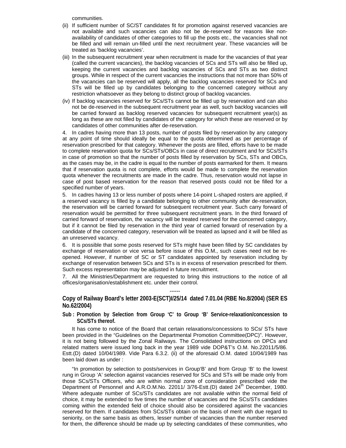communities.

- (ii) If sufficient number of SC/ST candidates fit for promotion against reserved vacancies are not available and such vacancies can also not be de-reserved for reasons like nonavailability of candidates of other categories to fill up the posts etc., the vacancies shall not be filled and will remain un-filled until the next recruitment year. These vacancies will be treated as 'backlog vacancies'.
- (iii) In the subsequent recruitment year when recruitment is made for the vacancies of that year (called the current vacancies), the backlog vacancies of SCs and STs will also be filled up, keeping the current vacancies and backlog vacancies of SCs and STs as two distinct groups. While in respect of the current vacancies the instructions that not more than 50% of the vacancies can be reserved will apply, all the backlog vacancies reserved for SCs and STs will be filled up by candidates belonging to the concerned category without any restriction whatsoever as they belong to distinct group of backlog vacancies.
- (iv) If backlog vacancies reserved for SCs/STs cannot be filled up by reservation and can also not be de-reserved in the subsequent recruitment year as well, such backlog vacancies will be carried forward as backlog reserved vacancies for subsequent recruitment year(s) as long as these are not filled by candidates of the category for which these are reserved or by candidates of other communities after de-reservation.

4. In cadres having more than 13 posts, number of posts filed by reservation by any category at any point of time should ideally be equal to the quota determined as per percentage of reservation prescribed for that category. Whenever the posts are filled, efforts have to be made to complete reservation quota for SCs/STs/OBCs in case of direct recruitment and for SCs/STs in case of promotion so that the number of posts filled by reservation by SCs, STs and OBCs, as the cases may be, in the cadre is equal to the number of posts earmarked for them. It means that if reservation quota is not complete, efforts would be made to complete the reservation quota whenever the recruitments are made in the cadre. Thus, reservation would not lapse in case of post based reservation for the reason that reserved posts could not be filled for a specified number of years.

5. In cadres having 13 or less number of posts where 14-point L-shaped rosters are applied, if a reserved vacancy is filled by a candidate belonging to other community after de-reservation, the reservation will be carried forward for subsequent recruitment year. Such carry forward of reservation would be permitted for three subsequent recruitment years. In the third forward of carried forward of reservation, the vacancy will be treated reserved for the concerned category, but if it cannot be filed by reservation in the third year of carried forward of reservation by a candidate of the concerned category, reservation will be treated as lapsed and it will be filled as an unreserved vacancy.

6. It is possible that some posts reserved for STs might have been filled by SC candidates by exchange of reservation or vice versa before issue of this O.M., such cases need not be reopened. However, if number of SC or ST candidates appointed by reservation including by exchange of reservation between SCs and STs is in excess of reservation prescribed for them. Such excess representation may be adjusted in future recruitment.

7. All the Ministries/Department are requested to bring this instructions to the notice of all offices/organisation/establishment etc. under their control.

## ------ **Copy of Railway Board's letter 2003-E(SCT)I/25/14 dated 7.01.04 (RBE No.8/2004) (SER ES No.62/2004)**

**Sub : Promotion by Selection from Group 'C' to Group 'B' Service-relaxation/concession to SCs/STs thereof.** 

It has come to notice of the Board that certain relaxations/concessions to SCs/ STs have been provided in the "Guidelines on the Departmental Promotion Committee(DPC)". However, it is not being followed by the Zonal Railways. The Consolidated instructions on DPCs and related matters were issued long back in the year 1989 vide DOP&T's O.M. No.22011/5/86. Estt.(D) dated 10/04/1989. Vide Para 6.3.2. (ii) of the aforesaid O.M. dated 10/04/1989 has been laid down as under :

"In promotion by selection to posts/services in Group'B' and from Group 'B' to the lowest rung in Group 'A' selection against vacancies reserved for SCs and STs will be made only from those SCs/STs Officers, who are within normal zone of consideration prescribed vide the Department of Personnel and A.R.O.M.No. 22011/ 3/76-Estt.(D) dated 24<sup>th</sup> December, 1980. Where adequate number of SCs/STs candidates are not available within the normal field of choice, it may be extended to five times the number of vacancies and the SCs/STs candidates coming within the extended field of choice should also be considered against the vacancies reserved for them. If candidates from SCs/STs obtain on the basis of merit with due regard to seniority, on the same basis as others, lesser number of vacancies than the number reserved for them, the difference should be made up by selecting candidates of these communities, who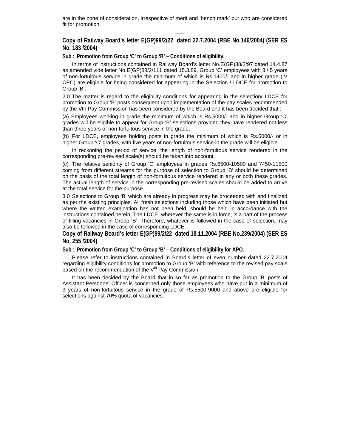are in the zone of consideration, irrespective of merit and 'bench mark' but who are considered fit for promotion.

**Copy of Railway Board's letter E(GP)99/2/22 dated 22.7.2004 (RBE No.146/2004) (SER ES No. 183 /2004)** 

------

**Sub : Promotion from Group 'C' to Group 'B' – Conditions of eligibility.** 

In terms of instructions contained in Railway Board's letter No.E(GP)88/2/97 dated 14.4.87 as amended vide letter No.E(GP)88/2/111 dated 15.3.89, Group 'C' employees with 3 / 5 years of non-fortuitous service in grade the minimum of which is Rs.1400/- and in higher grade (IV CPC) are eligible for being considered for appearing in the Selection / LDCE for promotion to Group 'B'.

2.0 The matter is regard to the eligibility conditions for appearing in the selection/ LDCE for promotion to Group 'B' posts consequent upon implementation of the pay scales recommended by the Vth Pay Commission has been considered by the Board and it has been decided that :

(a) Employees working in grade the minimum of which is Rs.5000/- and in higher Group 'C' grades will be eligible to appear for Group 'B' selections provided they have rendered not less than three years of non-fortuitous service in the grade.

(b) For LDCE, employees holding posts in grade the minimum of which is Rs.5000/- or in higher Group 'C' grades, with five years of non-fortuitous service in the grade will be eligible.

 In reckoning the period of service, the length of non-fortuitous service rendered in the corresponding pre-revised scale(s) should be taken into account.

(c) The relative seniority of Group 'C' employees in grades Rs.6500-10500 and 7450-11500 coming from different streams for the purpose of selection to Group 'B' should be determined on the basis of the total length of non-fortuitous service rendered in any or both these grades. The actual length of service in the corresponding pre-revised scales should be added to arrive at the total service for the purpose.

3.0 Selections to Group 'B' which are already in progress may be proceeded with and finalized as per the existing principles. All fresh selections including those which have been initiated but where the written examination has not been held, should be held in accordance with the instructions contained herein. The LDCE, wherever the same is in force, is a part of the process of filling vacancies in Group 'B'. Therefore, whatever is followed in the case of selection, may also be followed in the case of corresponding LDCE.

**Copy of Railway Board's letter E(GP)99/2/22 dated 18.11.2004 (RBE No.239/2004) (SER ES No. 255 /2004)** 

**Sub : Promotion from Group 'C' to Group 'B' – Conditions of eligibility for APO.** 

Please refer to instructions contained in Board's letter of even number dated 22.7.2004 regarding eligibility conditions for promotion to Group 'B' with reference to the revised pay scale based on the recommendation of the  $V<sup>th</sup>$  Pay Commission.

It has been decided by the Board that in so far as promotion to the Group 'B' posts of Assistant Personnel Officer is concerned only those employees who have put in a minimum of 3 years of non-fortuitous service in the grade of Rs.5500-9000 and above are eligible for selections against 70% quota of vacancies.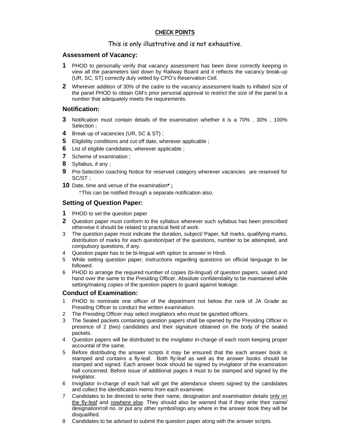# **CHECK POINTS**

# This is only illustrative and is not exhaustive.

# **Assessment of Vacancy:**

- **1** PHOD to personally verify that vacancy assessment has been done correctly keeping in view all the parameters laid down by Railway Board and it reflects the vacancy break-up (UR, SC, ST) correctly duly vetted by CPO's Reservation Cell.
- **2** Wherever addition of 30% of the cadre to the vacancy assessment leads to inflated size of the panel PHOD to obtain GM's prior personal approval to restrict the size of the panel to a number that adequately meets the requirements.

# **Notification:**

- **3** Notification must contain details of the examination whether it is a 70% , 30% , 100% Selection ;
- **4** Break up of vacancies (UR, SC & ST) ;
- **5** Eligibility conditions and cut off date, wherever applicable ;
- **6** List of eligible candidates, wherever applicable ;
- **7** Scheme of examination ;
- **8** Syllabus, if any ;
- **9** Pre-Selection coaching Notice for reserved category wherever vacancies are reserved for SC/ST ;
- **10** Date, time and venue of the examination**\* ;**
	- \* This can be notified through a separate notification also.

# **Setting of Question Paper:**

- **1** PHOD to set the question paper
- **2** Question paper must conform to the syllabus wherever such syllabus has been prescribed otherwise it should be related to practical field of work.
- 3 The question paper must indicate the duration, subject/ Paper, full marks, qualifying marks, distribution of marks for each question/part of the questions, number to be attempted, and compulsory questions, if any.
- 4 Question paper has to be bi-lingual with option to answer in Hindi.
- 5 While setting question paper, instructions regarding questions on official language to be followed.
- 6 PHOD to arrange the required number of copies (bi-lingual) of question papers, sealed and hand over the same to the Presiding Officer. Absolute confidentiality to be maintained while setting/making copies of the question papers to guard against leakage.

# **Conduct of Examination:**

- 1 PHOD to nominate one officer of the department not below the rank of JA Grade as Presiding Officer to conduct the written examination.
- 2 The Presiding Officer may select invigilators who must be gazetted officers.
- 3 The Sealed packets containing question papers shall be opened by the Presiding Officer in presence of 2 (two) candidates and their signature obtained on the body of the sealed packets.
- 4 Question papers will be distributed to the invigilator in-charge of each room keeping proper accountal of the same.
- 5 Before distributing the answer scripts it may be ensured that the each answer book is stamped and contains a fly-leaf. Both fly-leaf as well as the answer books should be stamped and signed. Each answer book should be signed by invigilator of the examination hall concerned. Before issue of additional pages it must to be stamped and signed by the invigilator.
- 6 Invigilator in-charge of each hall will get the attendance sheets signed by the candidates and collect the identification memo from each examinee.
- 7 Candidates to be directed to write their name, designation and examination details only on the fly-leaf and nowhere else. They should also be warned that if they write their name/ designation/roll no. or put any other symbol/sign any where in the answer book they will be disqualified.
- 8 Candidates to be advised to submit the question paper along with the answer scripts.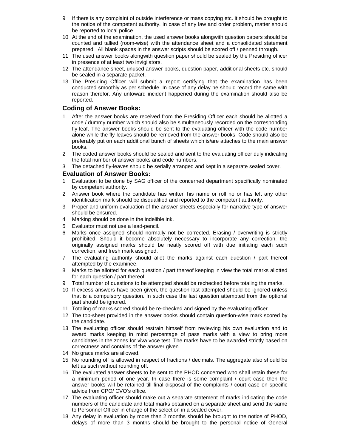- 9 If there is any complaint of outside interference or mass copying etc. it should be brought to the notice of the competent authority. In case of any law and order problem, matter should be reported to local police.
- 10 At the end of the examination, the used answer books alongwith question papers should be counted and tallied (room-wise) with the attendance sheet and a consolidated statement prepared. All blank spaces in the answer scripts should be scored off / penned through.
- 11 The used answer books alongwith question paper should be sealed by the Presiding officer in presence of at least two invigilators.
- 12 The attendance sheet, unused answer books, question paper, additional sheets etc. should be sealed in a separate packet.
- 13 The Presiding Officer will submit a report certifying that the examination has been conducted smoothly as per schedule. In case of any delay he should record the same with reason therefor. Any untoward incident happened during the examination should also be reported.

## **Coding of Answer Books:**

- After the answer books are received from the Presiding Officer each should be allotted a code / dummy number which should also be simultaneously recorded on the corresponding fly-leaf. The answer books should be sent to the evaluating officer with the code number alone while the fly-leaves should be removed from the answer books. Code should also be preferably put on each additional bunch of sheets which is/are attaches to the main answer books.
- 2 The coded answer books should be sealed and sent to the evaluating officer duly indicating the total number of answer books and code numbers.
- 3 The detached fly-leaves should be serially arranged and kept in a separate sealed cover.

#### **Evaluation of Answer Books:**

- 1 Evaluation to be done by SAG officer of the concerned department specifically nominated by competent authority.
- 2 Answer book where the candidate has written his name or roll no or has left any other identification mark should be disqualified and reported to the competent authority.
- 3 Proper and uniform evaluation of the answer sheets especially for narrative type of answer should be ensured.
- 4 Marking should be done in the indelible ink.
- 5 Evaluator must not use a lead-pencil.
- 6 Marks once assigned should normally not be corrected. Erasing / overwriting is strictly prohibited. Should it become absolutely necessary to incorporate any correction, the originally assigned marks should be neatly scored off with due initialing each such correction, and fresh mark assigned.
- 7 The evaluating authority should allot the marks against each question / part thereof attempted by the examinee.
- 8 Marks to be allotted for each question / part thereof keeping in view the total marks allotted for each question / part thereof.
- 9 Total number of questions to be attempted should be rechecked before totaling the marks.
- 10 If excess answers have been given, the question last attempted should be ignored unless that is a compulsory question. In such case the last question attempted from the optional part should be ignored.
- 11 Totaling of marks scored should be re-checked and signed by the evaluating officer.
- 12 The top-sheet provided in the answer books should contain question-wise mark scored by the candidate.
- 13 The evaluating officer should restrain himself from reviewing his own evaluation and to award marks keeping in mind percentage of pass marks with a view to bring more candidates in the zones for viva voce test. The marks have to be awarded strictly based on correctness and contains of the answer given.
- 14 No grace marks are allowed.
- 15 No rounding off is allowed in respect of fractions / decimals. The aggregate also should be left as such without rounding off.
- 16 The evaluated answer sheets to be sent to the PHOD concerned who shall retain these for a minimum period of one year. In case there is some complaint / court case then the answer books will be retained till final disposal of the complaints / court case on specific advice from CPO/ CVO's office.
- 17 The evaluating officer should make out a separate statement of marks indicating the code numbers of the candidate and total marks obtained on a separate sheet and send the same to Personnel Officer in charge of the selection in a sealed cover.
- 18 Any delay in evaluation by more than 2 months should be brought to the notice of PHOD, delays of more than 3 months should be brought to the personal notice of General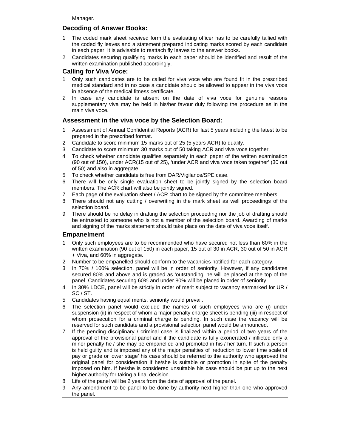Manager.

# **Decoding of Answer Books:**

- 1 The coded mark sheet received form the evaluating officer has to be carefully tallied with the coded fly leaves and a statement prepared indicating marks scored by each candidate in each paper. It is advisable to reattach fly leaves to the answer books.
- 2 Candidates securing qualifying marks in each paper should be identified and result of the written examination published accordingly.

## **Calling for Viva Voce:**

- 1 Only such candidates are to be called for viva voce who are found fit in the prescribed medical standard and in no case a candidate should be allowed to appear in the viva voce in absence of the medical fitness certificate.
- 2 In case any candidate is absent on the date of viva voce for genuine reasons supplementary viva may be held in his/her favour duly following the procedure as in the main viva voce.

# **Assessment in the viva voce by the Selection Board:**

- 1 Assessment of Annual Confidential Reports (ACR) for last 5 years including the latest to be prepared in the prescribed format.
- 2 Candidate to score minimum 15 marks out of 25 (5 years ACR) to qualify.
- 3 Candidate to score minimum 30 marks out of 50 taking ACR and viva voce together.
- 4 To check whether candidate qualifies separately in each paper of the written examination (90 out of 150), under ACR(15 out of 25), 'under ACR and viva voce taken together' (30 out of 50) and also in aggregate.
- 5 To check whether candidate is free from DAR/Vigilance/SPE case.
- 6 There will be only single evaluation sheet to be jointly signed by the selection board members. The ACR chart will also be jointly signed.
- 7 Each page of the evaluation sheet / ACR chart to be signed by the committee members.
- 8 There should not any cutting / overwriting in the mark sheet as well proceedings of the selection board.
- 9 There should be no delay in drafting the selection proceeding nor the job of drafting should be entrusted to someone who is not a member of the selection board. Awarding of marks and signing of the marks statement should take place on the date of viva voce itself.

#### **Empanelment**

- 1 Only such employees are to be recommended who have secured not less than 60% in the written examination (90 out of 150) in each paper, 15 out of 30 in ACR, 30 out of 50 in ACR + Viva, and 60% in aggregate.
- 2 Number to be empanelled should conform to the vacancies notified for each category.
- 3 In 70% / 100% selection, panel will be in order of seniority. However, if any candidates secured 80% and above and is graded as 'outstanding' he will be placed at the top of the panel. Candidates securing 60% and under 80% will be placed in order of seniority.
- 4 In 30% LDCE, panel will be strictly in order of merit subject to vacancy earmarked for UR / SC / ST.
- 5 Candidates having equal merits, seniority would prevail.
- 6 The selection panel would exclude the names of such employees who are (i) under suspension (ii) in respect of whom a major penalty charge sheet is pending (iii) in respect of whom prosecution for a criminal charge is pending. In such case the vacancy will be reserved for such candidate and a provisional selection panel would be announced.
- 7 If the pending disciplinary / criminal case is finalized within a period of two years of the approval of the provisional panel and if the candidate is fully exonerated / inflicted only a minor penalty he / she may be empanelled and promoted in his / her turn. If such a person is held guilty and is imposed any of the major penalties of 'reduction to lower time scale of pay or grade or lower stage' his case should be referred to the authority who approved the original panel for consideration if he/she is suitable or promotion in spite of the penalty imposed on him. If he/she is considered unsuitable his case should be put up to the next higher authority for taking a final decision.
- 8 Life of the panel will be 2 years from the date of approval of the panel.
- 9 Any amendment to be panel to be done by authority next higher than one who approved the panel.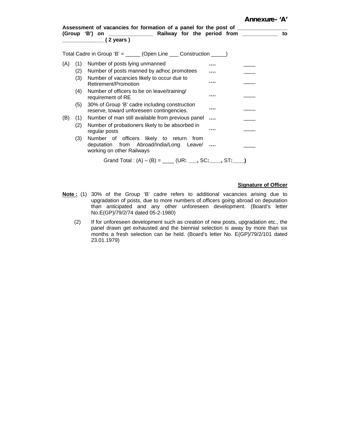|     |     | Assessment of vacancies for formation of a panel for the post of _______________<br>(Group 'B') on _________________ Railway for the period from _________<br>(2 years ) |          | to |
|-----|-----|--------------------------------------------------------------------------------------------------------------------------------------------------------------------------|----------|----|
|     |     | Total Cadre in Group 'B' = _____ (Open Line ___ Construction _____)                                                                                                      |          |    |
| (A) | (1) | Number of posts lying unmanned                                                                                                                                           |          |    |
|     | (2) | Number of posts manned by adhoc promotees                                                                                                                                |          |    |
|     | (3) | Number of vacancies likely to occur due to<br>Retirement/Promotion                                                                                                       | .        |    |
|     | (4) | Number of officers to be on leave/training/<br>requirement of RE                                                                                                         | .        |    |
|     | (5) | 30% of Group 'B' cadre including construction<br>reserve, toward unforeseen contingencies.                                                                               |          |    |
| (B) | (1) | Number of man still available from previous panel                                                                                                                        | $\cdots$ |    |
|     | (2) | Number of probationers likely to be absorbed in<br>regular posts                                                                                                         | .        |    |
|     | (3) | Number of officers likely to return<br>from<br>deputation from Abroad/India/Long Leave/<br>working on other Railways                                                     |          |    |
|     |     | Grand Total: $(A) - (B) =$ _____ (UR: ____, SC: ____, ST: ____)                                                                                                          |          |    |

#### **Signature of Officer**

- **Note :** (1) 30% of the Group 'B' cadre refers to additional vacancies arising due to upgradation of posts, due to more numbers of officers going abroad on deputation than anticipated and any other unforeseen development. (Board's letter No.E(GP)/79/2/74 dated 05-2-1980)
	- (2) If for unforeseen development such as creation of new posts, upgradation etc., the panel drawn get exhausted and the biennial selection is away by more than six months a fresh selection can be held. (Board's letter No. E(GP)/79/2/101 dated 23.01.1979)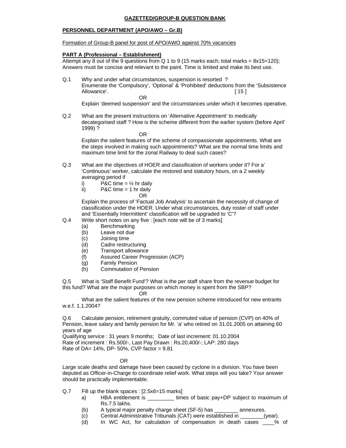#### **GAZETTED/GROUP-B QUESTION BANK**

#### **PERSONNEL DEPARTMENT (APO/AWO – Gr.B)**

#### Formation of Group-B panel for post of APO/AWO against 70% vacancies

#### **PART A (Professional – Establishment)**

Attempt any 8 out of the 9 questions from  $Q_1$  to 9 (15 marks each; total marks = 8x15=120); Answers must be concise and relevant to the paint. Time is limited and make its best use.

Q.1 Why and under what circumstances, suspension is resorted ? Enumerate the 'Compulsory', 'Optional' & 'Prohibited' deductions from the 'Subsistence Allowance'. [ 15 ] **OR** Service Service Service Service Service Service Service Service Service Service Service Service Service Service Service Service Service Service Service Service Service Service Service Service Service Service Service S

Explain 'deemed suspension' and the circumstances under which it becomes operative.

Q.2 What are the present instructions on 'Alternative Appointment' to medically decategorised staff ? How is the scheme different from the earlier system (before April' 1999) ?

**OR** Service Service Service Service Service Service Service Service Service Service Service Service Service Service Service Service Service Service Service Service Service Service Service Service Service Service Service S

 Explain the salient features of the scheme of compassionate appointments. What are the steps involved in making such appointments? What are the normal time limits and maximum time limit for the zonal Railway to deal such cases?

- Q.3 What are the objectives of HOER and classification of workers under it? For a' 'Continuous' worker, calculate the restored and statutory hours, on a 2 weekly averaging period if
	- i) P&C time =  $\frac{1}{2}$  hr daily
	- ii)  $PAC time = 1 hr daily$

**OR** Service Service Service Service Service Service Service Service Service Service Service Service Service Service Service Service Service Service Service Service Service Service Service Service Service Service Service S

 Explain the process of 'Factual Job Analysis' to ascertain the necessity of change of classification under the HOER. Under what circumstances, duty roster of staff under and 'Essentially Intermittent' classification will be upgraded to 'C'?

- Q.4 Write short notes on any five : [each note will be of 3 marks]
	- (a) Benchmarking
	- (b) Leave not due
	- (c) Joining time
	- (d) Cadre restructuring
	- (e) Transport allowance
	- (f) Assured Career Progression (ACP)
	- (g) Family Pension
	- (h) Commutation of Pension

Q.5 What is 'Staff Benefit Fund'? What is the per staff share from the revenue budget for this fund? What are the major purposes on which money is spent from the SBP?

#### **OR** Service Service Service Service Service Service Service Service Service Service Service Service Service Service Service Service Service Service Service Service Service Service Service Service Service Service Service S

 What are the salient features of the new pension scheme introduced for new entrants w.e.f. 1.1.2004?

Q.6 Calculate pension, retirement gratuity, commuted value of pension (CVP) on 40% of Pension, leave salary and family pension for Mr. 'a' who retired on 31.01.2005 on attaining 60 years of age

Qualifying service : 31 years 9 months; Date of last increment: 01.10.2004 Rate of increment : Rs.500/-, Last Pay Drawn : Rs.20,400/-; LAP: 280 days Rate of DA= 14%, DP- 50%, CVP factor = 9.81

#### OR

Large scale deaths and damage have been caused by cyclone in a division. You have been deputed as Officer-in-Charge to coordinate relief work. What steps will you take? Your answer should be practically implementable.

- Q.7 Fill up the blank spaces : [2.5x6=15 marks]
	- a) HBA entitlement is \_\_\_\_\_\_\_\_\_ times of basic pay+DP subject to maximum of Rs.7.5 lakhs.
	- (b) A typical major penalty charge sheet (SF-5) has \_\_\_\_\_\_\_\_ annexures.
	- (c) Central Administrative Tribunals (CAT) were established in \_\_\_\_\_\_\_\_(year).
	- (d) In WC Act, for calculation of compensation in death cases \_\_\_\_% of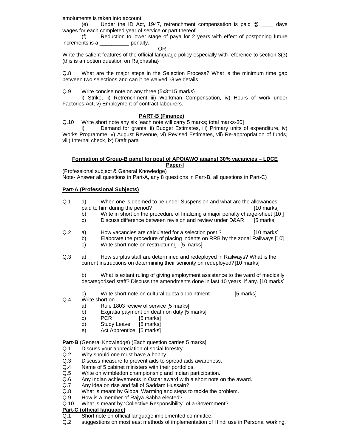emoluments is taken into account.

 (e) Under the ID Act, 1947, retrenchment compensation is paid @ \_\_\_\_ days wages for each completed year of service or part thereof.

 (f) Reduction to lower stage of paya for 2 years with effect of postponing future increments is a **penalty**.

**OR** Service Service Service Service Service Service Service Service Service Service Service Service Service Service Service Service Service Service Service Service Service Service Service Service Service Service Service S

Write the salient features of the official language policy especially with reference to section 3(3) (this is an option question on Rajbhasha}

Q.8 What are the major steps in the Selection Process? What is the minimum time gap between two selections and can it be waived. Give details.

Q.9 Write concise note on any three (5x3=15 marks}

 i) Strike, ii) Retrenchment iii) Workman Compensation, iv) Hours of work under Factories Act, v) Employment of contract labourers.

#### **PART-B (Finance)**

Q.10 Write short note any six [each note will carry 5 marks; total marks-30]

 i) Demand for grants, ii) Budget Estimates, iii) Primary units of expenditure, iv) Works Programme, v) August Revenue, vi) Revised Estimates, vii) Re-appropriation of funds, viii) Internal check, ix) Draft para

#### **Formation of Group-B panel for post of APO/AWO against 30% vacancies – LDCE Paper-I**

(Professional subject & General Knowledge)

Note- Answer all questions in Part-A, any 8 questions in Part-B, all questions in Part-C)

#### **Part-A (Professional Subjects)**

- Q.1 a) When one is deemed to be under Suspension and what are the allowances paid to him during the period? [10 marks]
	- b) Write in short on the procedure of finalizing a major penalty charge-sheet [10 ]
	- c) Discuss difference between revision and review under D&AR [5 marks]
- Q.2 a) How vacancies are calculated for a selection post ? [10 marks]
	- b) Elaborate the procedure of placing indents on RRB by the zonal Railways [10]
		- c) Write short note on restructuring [5 marks]
- Q.3 a) How surplus staff are determined and redeployed in Railways? What is the current instructions on determining their seniority on redeployed? [10 marks]

b) What is extant ruling of giving employment assistance to the ward of medically decategorised staff? Discuss the amendments done in last 10 years, if any. [10 marks]

- c) Write short note on cultural quota appointment [5 marks]
- Q.4 Write short on
	- a) Rule 1803 review of service [5 marks]
	- b) Exgratia payment on death on duty [5 marks]
	- c) PCR [5 marks]
	- d) Study Leave [5 marks]
	- e) Act Apprentice [5 marks]

#### **Part-B** (General Knowledge) (Each question carries 5 marks]

- Q.1 Discuss your appreciation of social forestry
- Q.2 Why should one must have a hobby.
- Q.3 Discuss measure to prevent aids to spread aids awareness.
- Q.4 Name of 5 cabinet ministers with their portfolios.
- Q.5 Write on wimbledon championship and Indian participation.
- Q.6 Any Indian achievements in Oscar award with a short note on the award.
- Q.7 Any idea on rise and fall of Saddam Hussain?
- Q.8 What is meant by Global Warming and steps to tackle the problem.
- Q.9 How is a member of Rajya Sabha elected?
- Q.10 What is meant by 'Collective Responsibility" of a Government?

#### **Part-C (official language)**

- Q.1 Short note on official language implemented committee.
- Q.2 suggestions on most east methods of implementation of Hindi use in Personal working.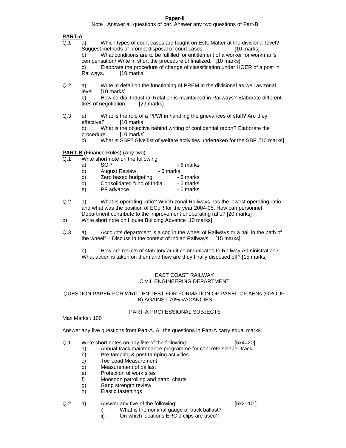#### **Paper-II**

Note : Answer all questions of par. Answer any two questions of Part-B

#### **PART-A**

- Q.1 a) Which types of court cases are fought on Estt. Matter at the divisional level? Suggest methods of prompt disposal of court cases [10 marks] What conditions are to be fulfilled for entitlement of a worker for workman's compensation/ Write in short the procedure of finalized. [10 marks] c) Elaborate the procedure of change of classification under HOER of a post in [10 marks]
- Q.2 a) Write in detail on the functioning of PREM in the divisional as well as zonal level [10 marks]

b) How cordial Industrial Relation is maintained in Railways? Elaborate different tires of negotiation. [29 marks]

Q.3 a) What is the role of a PI/WI in handling the grievances of staff? Are they effective? [10 marks] b) What is the objective behind writing of confidential report? Elaborate the procedure. [10 marks] c) What is SBF? Give list of welfare activities undertaken for the SBF. [10 marks]

**PART-B** (Finance Rules) (Any two)

- $\overline{Q.1}$  Write short note on the following<br>a) SOP
	- a) SOP 6 marks
	- b) August Review 6 marks
	- c) Zero based budgeting 6 marks
	- d) Consolidated fund of India 6 marks
		- e) PF advance 6 marks
- Q.2 a) What is operating ratio? Which zonal Railways has the lowest operating ratio and what was the position of ECoR for the year 2004-05. How can personnel Department contribute to the improvement of operating ratio? [20 marks]
- b) Write short note on House Building Advance [10 marks]
- Q.3 a) Accounts department is a cog in the wheel of Railways or a nail in the path of the wheel" – Discuss in the context of Indian Railways. [15 marks]

b) How are results of statutory audit communicated to Railway Administration? What action is taken on them and how are they finally disposed off? [15 marks]

#### EAST COAST RAILWAY CIVIL ENGINEERING DEPARTMENT

#### QUESTION PAPER FOR WRITTEN TEST FOR FORMATION OF PANEL OF AENs (GROUP-B) AGAINST 70% VACANCIES

#### PART-A PROFESSIONAL SUBJECTS

Max Marks : 100

Answer any five questions from Part-A. All the questions in Part-A carry equal marks.

- Q.1 Write short notes on any five of the following: [5x4=20]
	- a) Annual track maintenance programme for concrete sleeper track
	- b) Pre-tamping & post-tamping activities
	- c) Toe Load Measurement
	- d) Measurement of ballast
	- e) Protection of work sites
	- f) Monsoon patrolling and patrol charts
	- g) Gang strength review
	- h) Elastic fastenings

#### Q.2 a) Answer any five of the following: [5x2=10 ]

- i) What is the nominal gauge of track ballast?
- ii) On which locations ERC-J clips are used?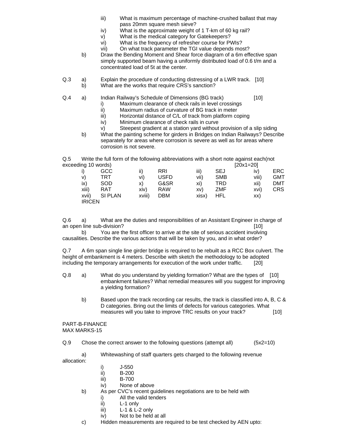- iii) What is maximum percentage of machine-crushed ballast that may pass 20mm square mesh sieve?
- iv) What is the approximate weight of 1 T-km of 60 kg rail?
- v) What is the medical category for Gatekeepers?
- vi) What is the frequency of refresher course for PWIs?
- vii) On what track parameter the TGI value depends most?
- b) Draw the Bending Moment and Shear force diagram of a 6m effective span simply supported beam having a uniformly distributed load of 0.6 t/m and a concentrated load of 5t at the center.
- Q.3 a) Explain the procedure of conducting distressing of a LWR track. [10] b) What are the works that require CRS's sanction?

#### Q.4 a) Indian Railway's Schedule of Dimensions (BG track) [10]

- i) Maximum clearance of check rails in level crossings
- ii) Maximum radius of curvature of BG track in meter
- iii) Horizontal distance of C/L of track from platform coping
- iv) Minimum clearance of check rails in curve
- v) Steepest gradient at a station yard without provision of a slip siding
- b) What the painting scheme for girders in Bridges on Indian Railways? Describe separately for areas where corrosion is severe as well as for areas where corrosion is not severe.

 $Q.5$  Write the full form of the following abbreviations with a short note against each(not exceeding 10 words) exceeding 10 words)

|               |               |        |             |       |            | 1–000 - 1–1–1 |            |
|---------------|---------------|--------|-------------|-------|------------|---------------|------------|
|               | GCC           | ii)    | RRI         | iii)  | <b>SEJ</b> | iv)           | ERC        |
| v)            | TRT           | vi)    | <b>USFD</b> | vii)  | <b>SMB</b> | viii)         | <b>GMT</b> |
| ix)           | <b>SOD</b>    | X)     | G&SR        | xi)   | <b>TRD</b> | xii)          | <b>DMT</b> |
| xiii)         | RAT           | xiv)   | <b>RAW</b>  | XV)   | ZMF        | xvi)          | <b>CRS</b> |
|               | xvii) SI PLAN | xviii) | <b>DBM</b>  | xisx) | <b>HFL</b> | XX)           |            |
| <b>IRICEN</b> |               |        |             |       |            |               |            |

Q.6 a) What are the duties and responsibilities of an Assistant Engineer in charge of an open line sub-division? **Example 20** and the sub-division?

 b) You are the first officer to arrive at the site of serious accident involving causalities. Describe the various actions that will be taken by you, and in what order?

Q.7 A 6m span single line girder bridge is required to be rebuilt as a RCC Box culvert. The height of embankment is 4 meters. Describe with sketch the methodology to be adopted including the temporary arrangements for execution of the work under traffic. [20]

- Q.8 a) What do you understand by yielding formation? What are the types of [10] embankment failures? What remedial measures will you suggest for improving a yielding formation?
	- b) Based upon the track recording car results, the track is classified into A, B, C & D categories. Bring out the limits of defects for various categories. What measures will you take to improve TRC results on your track? [10]

#### PART-B-FINANCE MAX MARKS-15

Q.9 Chose the correct answer to the following questions (attempt all) (5x2=10)

a) Whitewashing of staff quarters gets charged to the following revenue

allocation:

- i) J-550
- ii) B-200
- iii) B-700
- iv) None of above
- b) As per CVC's recent guidelines negotiations are to be held with
	- i) All the valid tenders
	- ii) L-1 only
	- iii) L-1 & L-2 only
	- iv) Not to be held at all
- c) Hidden measurements are required to be test checked by AEN upto: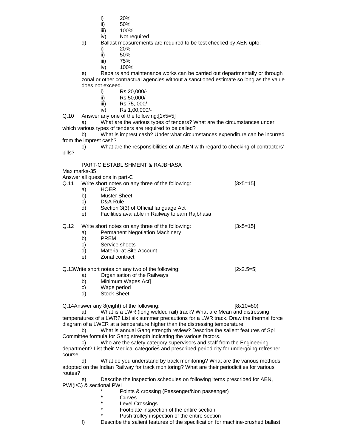- i) 20%
- ii) 50%
- iii) 100%
- iv) Not required
- d) Ballast measurements are required to be test checked by AEN upto:
	- i) 20%
	- ii) 50%
	- iii) 75%
	- iv) 100%

e) Repairs and maintenance works can be carried out departmentally or through zonal or other contractual agencies without a sanctioned estimate so long as the value does not exceed.

- i) Rs.20,000/-
- ii) Rs.50,000/-
- iii) Rs.75,.000/-
- iv) Rs.1,00,000/-

Q.10 Answer any one of the following:[1x5=5]

 a) What are the various types of tenders? What are the circumstances under which various types of tenders are required to be called?

 b) What is imprest cash? Under what circumstances expenditure can be incurred from the imprest cash?

 c) What are the responsibilities of an AEN with regard to checking of contractors' bills?

# PART-C ESTABLISHMENT & RAJBHASA

Max marks-35

Answer all questions in part-C

- Q.11 Write short notes on any three of the following: [3x5=15] a) HOER b) Muster Sheet c) D&A Rule d) Section 3(3) of Official language Act e) Facilities available in Railway tolearn Rajbhasa Q.12 Write short notes on any three of the following: [3x5=15]
	- a) Permanent Negotiation Machinery
	- b) PREM
	- c) Service sheets
	- d) Material-at Site Account
	- e) Zonal contract

#### Q.13Write short notes on any two of the following: [2x2.5=5]

- a) Organisation of the Railways
- b) Minimum Wages Act]
- c) Wage period
- d) Stock Sheet

Q.14Answer any 8(eight) of the following: [8x10=80)

 a) What is a LWR (long welded rail) track? What are Mean and distressing temperatures of a LWR? List six summer precautions for a LWR track. Draw the thermal force diagram of a LWER at a temperature higher than the distressing temperature.

 b) What is annual Gang strength review? Describe the salient features of Spl Committee formula for Gang strength indicating the various factors.

 c) Who are the safety category supervisors and staff from the Engineering department? List their Medical categories and prescribed periodicity for undergoing refresher course.

 d) What do you understand by track monitoring? What are the various methods adopted on the Indian Railway for track monitoring? What are their periodicities for various routes?

Describe the inspection schedules on following items prescribed for AEN, PWI(I/C) & sectional PWI

- Points & crossing (Passenger/Non passenger)
- **Curves**
- Level Crossings
- Footplate inspection of the entire section
- Push trolley inspection of the entire section
- f) Describe the salient features of the specification for machine-crushed ballast.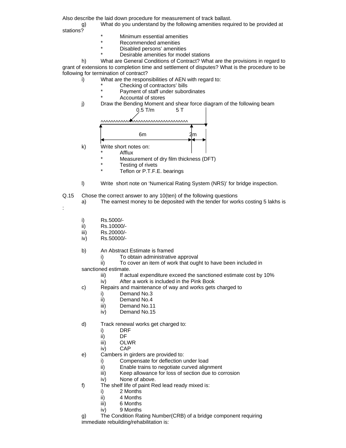Also describe the laid down procedure for measurement of track ballast.

 g) What do you understand by the following amenities required to be provided at stations?

- Minimum essential amenities
- Recommended amenities
- Disabled persons' amenities
- Desirable amenities for model stations

 h) What are General Conditions of Contract? What are the provisions in regard to grant of extensions to completion time and settlement of disputes? What is the procedure to be following for termination of contract?

i) What are the responsibilities of AEN with regard to:

- Checking of contractors' bills
- Payment of staff under subordinates
- Accountal of stores
- j) Draw the Bending Moment and shear force diagram of the following beam



- Measurement of dry film thickness (DFT)
- Testing of rivets
- Teflon or P.T.F.E. bearings
- l) Write short note on 'Numerical Rating System (NRS)' for bridge inspection.
- Q.15 Chose the correct answer to any 10(ten) of the following questions
- a) The earnest money to be deposited with the tender for works costing 5 lakhs is :
	- i) Rs.5000/-
	- ii) Rs.10000/-
	- iii) Rs.20000/-
	- iv) Rs.50000/-
	- b) An Abstract Estimate is framed
		- i) To obtain administrative approval
		- ii) To cover an item of work that ought to have been included in
	- sanctioned estimate.
		- iii) If actual expenditure exceed the sanctioned estimate cost by 10%
		- iv) After a work is included in the Pink Book
	- c) Repairs and maintenance of way and works gets charged to
		- i) Demand No.3
		- ii) Demand No.4
		- iii) Demand No.11
		- iv) Demand No.15
	- d) Track renewal works get charged to:
		-
		- i) DRF<br>ii) DF  $DF$
		- iii) OLWR
		- iv) CAP
	- e) Cambers in girders are provided to:
		- i) Compensate for deflection under load
		- ii) Enable trains to negotiate curved alignment
		- iii) Keep allowance for loss of section due to corrosion
		- iv) None of above.
	- f) The shelf life of paint Red lead ready mixed is:
		- i) 2 Months
		- ii) 4 Months
		- iii) 6 Months
		- iv) 9 Months

g) The Condition Rating Number(CRB) of a bridge component requiring immediate rebuilding/rehabilitation is: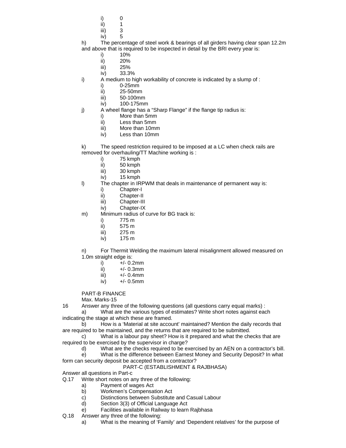- i) 0
	- ii)  $1$
	- iii) 3
	- iv) 5

h) The percentage of steel work & bearings of all girders having clear span 12.2m and above that is required to be inspected in detail by the BRI every year is:

- i) 10%
- ii) 20%
- iii) 25%
- iv) 33.3%
- i) A medium to high workability of concrete is indicated by a slump of :
	- i) 0-25mm
	- ii) 25-50mm
	- iii) 50-100mm
	- iv) 100-175mm
- j) A wheel flange has a "Sharp Flange" if the flange tip radius is:
	- i) More than 5mm
	- ii) Less than 5mm
	- iii) More than 10mm
	- iv) Less than 10mm
- k) The speed restriction required to be imposed at a LC when check rails are removed for overhauling/TT Machine working is :
	- i) 75 kmph<br>ii) 50 kmph
	- 50 kmph
	- iii) 30 kmph
	- iv) 15 kmph
- l) The chapter in IRPWM that deals in maintenance of permanent way is:
	- i) Chapter-I
	- ii) Chapter-II
	- iii) Chapter-III
	- iv) Chapter-IX
- m) Minimum radius of curve for BG track is:
	- i) 775 m
	- ii) 575 m
	- iii) 275 m
	- iv) 175 m

n) For Thermit Welding the maximum lateral misalignment allowed measured on 1.0m straight edge is:

- i)  $+/- 0.2$ mm
- ii)  $+/- 0.3$ mm
- iii)  $+/- 0.4$ mm
- iv) +/- 0.5mm

PART-B FINANCE

Max. Marks-15

16 Answer any three of the following questions (all questions carry equal marks) :

 a) What are the various types of estimates? Write short notes against each indicating the stage at which these are framed.

 b) How is a 'Material at site account' maintained? Mention the daily records that are required to be maintained, and the returns that are required to be submitted.

 c) What is a labour pay sheet? How is it prepared and what the checks that are required to be exercised by the supervisor in charge?

d) What are the checks required to be exercised by an AEN on a contractor's bill.

 e) What is the difference between Earnest Money and Security Deposit? In what form can security deposit be accepted from a contractor?

PART-C (ESTABLISHMENT & RAJBHASA)

Answer all questions in Part-c

Q.17 Write short notes on any three of the following:

- a) Payment of wages Act
- b) Workmen's Compensation Act
- c) Distinctions between Substitute and Casual Labour
- d) Section 3(3) of Official Language Act
- e) Facilities available in Railway to learn Rajbhasa
- Q.18 Answer any three of the following:
	- a) What is the meaning of 'Family' and 'Dependent relatives' for the purpose of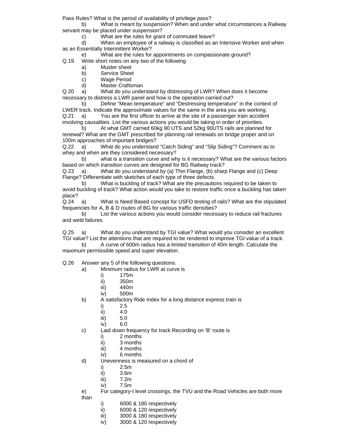Pass Rules? What is the period of availability of privilege pass?

 b) What is meant by suspension? When and under what circumstances a Railway servant may be placed under suspension?

c) What are the rules for grant of commuted leave?

 d) When an employee of a railway is classified as an Intensive Worker and when as an Essentially Intermittent Worker?

e) What are the rules for appointments on compassionate ground?

Q.19 Write short notes on any two of the following

- a) Muster sheet
- b) Service Sheet
- c) Wage Period
- d) Master Craftsman

Q.20 a) What do you understand by distressing of LWR? When does it become necessary to distress a LWR panel and how is the operation carried out?

 b) Define "Mean temperature" and "Destressing temperature" in the context of LWER track. Indicate the approximate values for the same in the area you are working. Q.21 a) You are the first officer to arrive at the site of a passenger train accident involving causalities. List the various actions you would be taking in order of priorities.

 b) At what GMT carried 60kg 90 UTS and 52kg 90UTS rails are planned for renewal? What are the GMT prescribed for planning rail renewals on bridge proper and on 100m approaches of important bridges?

Q.22 a) What do you understand "Catch Siding" and "Slip Siding"? Comment as to whey and when are they considered necessary?

 b) what is a transition curve and why is it necessary? What are the various factors based on which transition curves are designed for BG Railway track?

Q.23 a) What do you understand by (a) Thin Flange, (b) sharp Flange and (c) Deep Flange? Differentiate with sketches of each type of three defects.

 b) What is buckling of track? What are the precautions required to be taken to avoid buckling of track? What action would you take to restore traffic once a buckling has taken place?

Q.24 a) What is Need Based concept for USFD testing of rails? What are the stipulated frequencies for A, B & D routes of BG for various traffic densities?

 b) List the various actions you would consider necessary to reduce rail fractures and weld failures.

Q.25 a) What do you understand by TGI value? What would you consider an excellent TGI value? List the attentions that are required to be rendered to improve TGI value of a track.

 b) A curve of 600m radius has a limited transition of 40m length. Calculate the maximum permissible speed and super elevation.

Q.26 Answer any 5 of the following questions.

- a) Minimum radius for LWR at curve is
	- i) 175m
	- ii) 350m
	- iii) 440m
	- iv) 500m
- b) A satisfactory Ride Index for a long distance express train is
	- i) 2.5
	- ii) 4.0
	- iii) 5.0
	- iv) 6.0
- c) Laid down frequency for track Recording on 'B' route is
	- i) 2 months
	- ii) 3 months
	- iii) 4 months
	- iv) 6 months
- d) Unevenness is measured on a chord of
	- i) 2.5m
	- ii) 3.6m
	- iii) 7.2m
	- iv) 7.5m
- e) For category-I level crossings, the TVU and the Road Vehicles are both more than
	- i) 6000 & 180 respectively
	- ii) 6000 & 120 respectively
	- iii) 3000 & 180 respectively
	- iv) 3000 & 120 respectively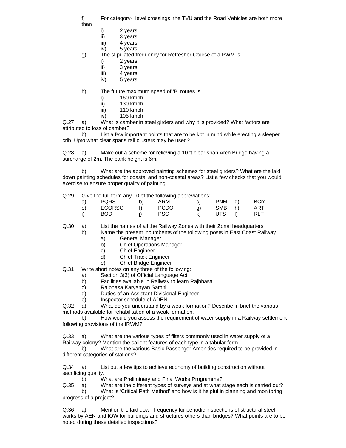f) For category-I level crossings, the TVU and the Road Vehicles are both more

- than
- i) 2 years
- ii) 3 years
- iii) 4 years
- iv) 5 years

g) The stipulated frequency for Refresher Course of a PWM is

- i) 2 years
- ii) 3 years
- iii) 4 years
- iv) 5 years

h) The future maximum speed of 'B' routes is

- i) 160 kmph
- ii) 130 kmph
- iii) 110 kmph
- iv) 105 kmph

Q.27 a) What is camber in steel girders and why it is provided? What factors are attributed to loss of camber?

 b) List a few important points that are to be kpt in mind while erecting a sleeper crib. Upto what clear spans rail clusters may be used?

Q.28 a) Make out a scheme for relieving a 10 ft clear span Arch Bridge having a surcharge of 2m. The bank height is 6m.

 b) What are the approved painting schemes for steel girders? What are the laid down painting schedules for coastal and non-coastal areas? List a few checks that you would exercise to ensure proper quality of painting.

#### Q.29 Give the full form any 10 of the following abbreviations:

| a) | <b>PQRS</b>   | b) | ARM         | C) | <b>PNM</b> | d)           | <b>BCm</b> |
|----|---------------|----|-------------|----|------------|--------------|------------|
| e) | <b>ECORSC</b> |    | <b>PCDO</b> | g) | SMB        | h)           | ART        |
|    | <b>BOD</b>    |    | <b>PSC</b>  | k) | UTS        | <sup>1</sup> | <b>RLT</b> |

Q.30 a) List the names of all the Railway Zones with their Zonal headquarters

b) Name the present incumbents of the following posts in East Coast Railway.

- a) General Manager
- b) Chief Operations Manager
- c) Chief Engineer
- d) Chief Track Engineer
- e) Chief Bridge Engineer

Q.31 Write short notes on any three of the following:

- a) Section 3(3) of Official Language Act
- b) Facilities available in Railway to learn Rajbhasa
- c) Rajbhasa Karyanyan Samiti
- d) Duties of an Assistant Divisional Engineer
- e) Inspector schedule of ADEN

Q.32 a) What do you understand by a weak formation? Describe in brief the various methods available for rehabilitation of a weak formation.

 b) How would you assess the requirement of water supply in a Railway settlement following provisions of the IRWM?

Q.33 a) What are the various types of filters commonly used in water supply of a Railway colony? Mention the salient features of each type in a tabular form.

 b) What are the various Basic Passenger Amenities required to be provided in different categories of stations?

Q.34 a) List out a few tips to achieve economy of building construction without sacrificing quality.

b) What are Preliminary and Final Works Programme?

Q.35 a) What are the different types of surveys and at what stage each is carried out?

 b) What is 'Critical Path Method' and how is it helpful in planning and monitoring progress of a project?

Q.36 a) Mention the laid down frequency for periodic inspections of structural steel works by AEN and IOW for buildings and structures others than bridges? What points are to be noted during these detailed inspections?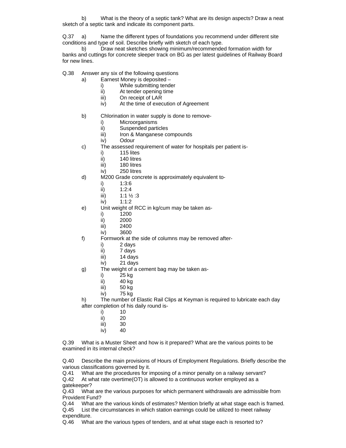b) What is the theory of a septic tank? What are its design aspects? Draw a neat sketch of a septic tank and indicate its component parts.

Q.37 a) Name the different types of foundations you recommend under different site conditions and type of soil. Describe briefly with sketch of each type.

 b) Draw neat sketches showing minimum/recommended formation width for banks and cuttings for concrete sleeper track on BG as per latest guidelines of Railway Board for new lines.

Q.38 Answer any six of the following questions

- a) Earnest Money is deposited
	- i) While submitting tender
	- ii) At tender opening time
	- iii) On receipt of LAR
	- iv) At the time of execution of Agreement
- b) Chlorination in water supply is done to remove
	- i) Microorganisms
	- ii) Suspended particles
	- iii) Iron & Manganese compounds
	- iv) Odour
- c) The assessed requirement of water for hospitals per patient is
	- i) 115 lites
	- ii) 140 litres
	- iii) 180 litres
	- iv) 250 litres
- d) M200 Grade concrete is approximately equivalent to
	- i) 1:3:6
	- ii) 1:2:4
	- iii) 1:1 ½ :3
	- iv) 1:1:2
- e) Unit weight of RCC in kg/cum may be taken as
	- i) 1200
	- ii) 2000
	- iii) 2400
	- iv) 3600
- f) Formwork at the side of columns may be removed after
	- i) 2 days
	- ii) 7 days
	- iii) 14 days
	- iv) 21 days
- g) The weight of a cement bag may be taken as
	- i) 25 kg
	- ii) 40 kg
	- iii) 50 kg
	- iv) 75 kg

h) The number of Elastic Rail Clips at Keyman is required to lubricate each day after completion of his daily round is-

- i) 10
- ii) 20
- iii) 30
- iv) 40

Q.39 What is a Muster Sheet and how is it prepared? What are the various points to be examined in its internal check?

Q.40 Describe the main provisions of Hours of Employment Regulations. Briefly describe the various classifications governed by it.

Q.41 What are the procedures for imposing of a minor penalty on a railway servant?

Q.42 At what rate overtime(OT) is allowed to a continuous worker employed as a gatekeeper?

Q.43 What are the various purposes for which permanent withdrawals are admissible from Provident Fund?

Q.44 What are the various kinds of estimates? Mention briefly at what stage each is framed. Q.45 List the circumstances in which station earnings could be utilized to meet railway expenditure.

Q.46 What are the various types of tenders, and at what stage each is resorted to?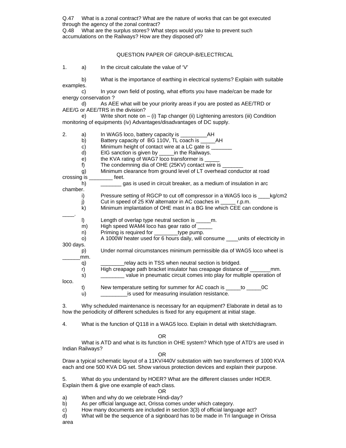Q.47 What is a zonal contract? What are the nature of works that can be got executed through the agency of the zonal contract?

Q.48 What are the surplus stores? What steps would you take to prevent such accumulations on the Railways? How are they disposed of?

#### QUESTION PAPER OF GROUP-B/ELECTRICAL

1. a) In the circuit calculate the value of 'V'

 b) What is the importance of earthing in electrical systems? Explain with suitable examples.

c) In your own field of posting, what efforts you have made/can be made for energy conservation ?

 d) As AEE what will be your priority areas if you are posted as AEE/TRD or AEE/G or AEE/TRS in the division?

 e) Write short note on – (i) Tap changer (ii) Lightening arrestors (iii) Condition monitoring of equipments (iv) Advantages/disadvantages of DC supply.

2. a) In WAG5 loco, battery capacity is \_\_\_\_\_

- b) Battery capacity of BG 110V, TL coach is \_\_\_\_\_AH
- $\mathbf{c}$ ) Minimum height of contact wire at a LC gate is  $\mathbf{c}$ d) EIG sanction is given by \_\_\_\_\_in the Railways.
- e) the KVA rating of WAG7 loco transformer is
- 

f) The condemning dia of OHE (25KV) contact wire is

 g) Minimum clearance from ground level of LT overhead conductor at road crossing is \_\_\_\_\_\_\_\_ feet.

|          | gas is used in circuit breaker, as a medium of insulation in arc                                                                                                                                                                  |  |
|----------|-----------------------------------------------------------------------------------------------------------------------------------------------------------------------------------------------------------------------------------|--|
| chamber. |                                                                                                                                                                                                                                   |  |
|          | $\mathbb{R}$ . The subsequently as a set of the set of the set of the set of the set of the set of the set of the set of the set of the set of the set of the set of the set of the set of the set of the set of the set of the s |  |

- i) Pressure setting of RGCP to cut off compressor in a WAG5 loco is \_\_\_\_kg/cm2
- j) Cut in speed of 25 KW alternator in AC coaches in \_\_\_\_\_ r.p.m.
- k) Minimum implantation of OHE mast in a BG line which CEE can condone is
- \_\_\_\_. l) Length of overlap type neutral section is \_\_\_\_\_m.
	- m) High speed WAM4 loco has gear ratio of
	- n) Priming is required for \_\_\_\_\_\_\_\_\_type pump.
- o) A 1000W heater used for 6 hours daily, will consume \_\_\_\_units of electricity in 300 days.

 p) Under normal circumstances minimum permissible dia of WAG5 loco wheel is mm.

q) <u>\_\_\_\_\_\_</u>relay acts in TSS when neutral section is bridged.

 r) High creapage path bracket insulator has creapage distance of \_\_\_\_\_\_\_mm. s)  $\frac{1}{2}$  value in pneumatic circuit comes into play for multiple operation of loco.

 t) New temperature setting for summer for AC coach is \_\_\_\_\_to \_\_\_\_\_0C u) is used for measuring insulation resistance.

3. Why scheduled maintenance is necessary for an equipment? Elaborate in detail as to how the periodicity of different schedules is fixed for any equipment at initial stage.

4. What is the function of Q118 in a WAG5 loco. Explain in detail with sketch/diagram.

#### **OR** Service Service Service Service Service Service Service Service Service Service Service Service Service Service Service Service Service Service Service Service Service Service Service Service Service Service Service S

 What is ATD and what is its function in OHE system? Which type of ATD's are used in Indian Railways?

**OR** Service Service Service Service Service Service Service Service Service Service Service Service Service Service Service Service Service Service Service Service Service Service Service Service Service Service Service S

Draw a typical schematic layout of a 11KV/440V substation with two transformers of 1000 KVA each and one 500 KVA DG set. Show various protection devices and explain their purpose.

5. What do you understand by HOER? What are the different classes under HOER. Explain them & give one example of each class.

**OR** Service Service Service Service Service Service Service Service Service Service Service Service Service Service Service Service Service Service Service Service Service Service Service Service Service Service Service S

- a) When and why do we celebrate Hindi-day?
- b) As per official language act, Orissa comes under which category.
- c) How many documents are included in section 3(3) of official language act?

d) What will be the sequence of a signboard has to be made in Tri language in Orissa area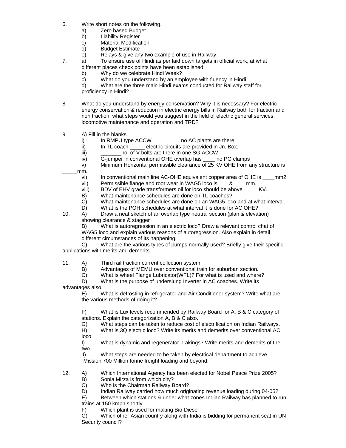- 6. Write short notes on the following.
	- a) Zero based Budget
	- b) Liability Register
	- c) Material Modification
	- d) Budget Estimate
	- e) Relays & give any two example of use in Railway
- 7. a) To ensure use of Hindi as per laid down targets in official work, at what different places check points have been established.
	- b) Why do we celebrate Hindi Week?
	- c) What do you understand by an employee with fluency in Hindi.
	- d) What are the three main Hindi exams conducted for Railway staff for
	- proficiency in Hindi?
- 8. What do you understand by energy conservation? Why it is necessary? For electric energy conservation & reduction in electric energy bills in Railway both for traction and non traction, what steps would you suggest in the field of electric general services, locomotive maintenance and operation and TRD?
- 9. A) Fill in the blanks
	- i) In RMPU type ACCW \_\_\_\_\_\_\_\_\_ no AC plants are there.<br>ii) In TL coach \_\_\_\_\_\_ electric circuits are provided in Jn. Box
	- In TL coach \_\_\_\_\_ electric circuits are provided in Jn. Box.
	- iii) \_\_\_\_\_\_\_\_\_\_\_\_\_no. of V bolts are there in one SG ACCW
	- iv) G-jumper in conventional OHE overlap has \_\_\_\_ no PG clamps
	- v) Minimum Horizontal permissible clearance of 25 KV OHE from any structure is \_\_\_\_\_mm.
		- vi) In conventional main line AC-OHE equivalent copper area of OHE is \_\_\_\_mm2
		- vii) Permissible flange and root wear in WAG5 loco is \_\_\_ & \_\_\_\_mm.
		- viii) BDV of EHV grade transformers oil for loco should be above \_\_\_\_\_KV.
		- B) What maintenance schedules are done on TL coaches?
		- C) What maintenance schedules are done on an WAG5 loco and at what interval.
		- D) What is the POH schedules at what interval it is done for AC OHE?
- 10. A) Draw a neat sketch of an overlap type neutral section (plan & elevation) showing clearance & stagger

B) What is autoregression in an electric loco? Draw a relevant control chat of WAG5 loco and explain various reasons of autoregression. Also explain in detail different circumstances of its happening.

 C) What are the various types of pumps normally used? Briefly give their specific applications with merits and demerits.

- 11. A) Third rail traction current collection system.
	- B) Advantages of MEMU over conventional train for suburban section.
	- C) What is wheel Flange Lubricator(WFL)? For what is used and where?

D) What is the purpose of underslung Inverter in AC coaches. Write its

advantages also.

E) What is defrosting in refrigerator and Air Conditioner system? Write what are the various methods of doing it?

F) What is Lux levels recommended by Railway Board for A, B & C category of stations. Explain the categorization A, B & C also.

G) What steps can be taken to reduce cost of electrification on Indian Railways.

 H) What is 3Q electric loco? Write its merits and demerits over conventional AC loco.

I) What is dynamic and regenerator brakings? Write merits and demerits of the two.

J) What steps are needed to be taken by electrical department to achieve "Mission 700 Million tonne freight loading and beyond.

- 12. A) Which International Agency has been elected for Nobel Peace Prize 2005?<br>B) Sonia Mirza is from which city?
	- Sonia Mirza is from which city?

C) Who is the Chairman Railway Board?<br>D) Indian Railway carried how much origi

Indian Railway carried how much originating revenue loading during 04-05?

 E) Between which stations & under what zones Indian Railway has planned to run trains at 150 kmph shortly.

F) Which plant is used for making Bio-Diesel

 G) Which other Asian country along with India is bidding for permanent seat in UN Security council?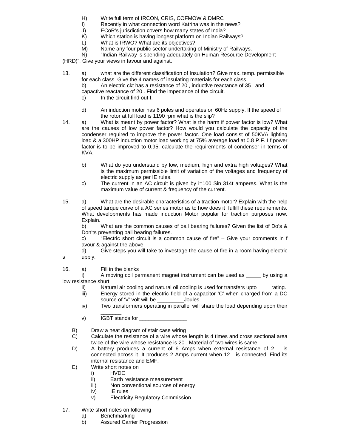- H) Write full term of IRCON, CRIS, COFMOW & DMRC
- I) Recently in what connection word Katrina was in the news?
- J) ECoR's jurisdiction covers how many states of India?
- K) Which station is having longest platform on Indian Railways?
- L) What is IRWO? What are its objectives?
- M) Name any four public sector undertaking of Ministry of Railways.
- N) "Indian Railway is spending adequately on Human Resource Development

(HRD)". Give your views in favour and against.

- 13. a) what are the different classification of Insulation? Give max. temp. permissible for each class. Give the 4 names of insulating materials for each class.
	- b) An electric ckt has a resistance of 20 , inductive reactance of 35 and
	- capactive reactance of 20 . Find the impedance of the circuit.
	- c) In the circuit find out I.
	- d) An induction motor has 6 poles and operates on 60Hz supply. If the speed of the rotor at full load is 1190 rpm what is the slip?
- 14. a) What is meant by power factor? What is the harm if power factor is low? What are the causes of low power factor? How would you calculate the capacity of the condenser required to improve the power factor. One load consist of 50KVA lighting load & a 300HP induction motor load working at 75% average load at 0.8 P.F. I f power factor is to be improved to 0.95, calculate the requirements of condenser in terms of KVA.
	- b) What do you understand by low, medium, high and extra high voltages? What is the maximum permissible limit of variation of the voltages and frequency of electric supply as per IE rules.
	- c) The current in an AC circuit is given by i=100 Sin 314t amperes. What is the maximum value of current & frequency of the current.
- 15. a) What are the desirable characteristics of a traction motor? Explain with the help of speed tarque curve of a AC series motor as to how does it fulfill these requirements. What developments has made induction Motor popular for traction purposes now. Explain.

b) What are the common causes of ball bearing failures? Given the list of Do's & Don'ts preventing ball bearing failures.

 c) "Electric short circuit is a common cause of fire" – Give your comments in f avour & against the above.

d) Give steps you will take to investage the cause of fire in a room having electric

- s upply.
- 16. a) Fill in the blanks

i) A moving coil permanent magnet instrument can be used as by using a low resistance shurt

- ii) Natural air cooling and natural oil cooling is used for transfers upto rating.
- iii) Energy stored in the electric field of a capacitor 'C' when charged from a DC source of 'V' volt will be \_\_\_\_\_\_\_\_\_\_\_\_\_Joules.
- iv) Two transformers operating in parallel will share the load depending upon their
- \_\_\_\_\_\_\_ v) IGBT stands for
- B) Draw a neat diagram of stair case wiring
- C) Calculate the resistance of a wire whose length is 4 times and cross sectional area twice of the wire whose resistance is 20 . Material of two wires is same.
- D) A battery produces a current of 6 Amps when external resistance of 2 is connected across it. It produces 2 Amps current when 12 is connected. Find its internal resistance and EMF.
- E) Write short notes on
	- i) HVDC
	- ii) Earth resistance measurement
	- iii) Non conventional sources of energy
	- iv) IE rules
	- v) Electricity Regulatory Commission
- 17. Write short notes on following
	- a) Benchmarking
		- b) Assured Carrier Progression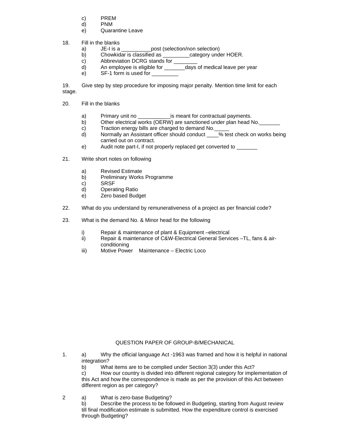- c) PREM
- d) PNM
- e) Quarantine Leave
- 18. Fill in the blanks
	- a) JE-I is a \_\_\_\_\_\_\_\_\_\_\_post (selection/non selection)
	- b) Chowkidar is classified as \_\_\_\_\_\_\_\_\_category under HOER.
	- $\overrightarrow{c}$  Abbreviation DCRG stands for  $\overrightarrow{c}$
	- d) An employee is eligible for \_\_\_\_\_\_\_days of medical leave per year
	- e) SF-1 form is used for

19. Give step by step procedure for imposing major penalty. Mention time limit for each stage.

- 20. Fill in the blanks
	- a) Primary unit no example is meant for contractual payments.
	- b) Other electrical works (OERW) are sanctioned under plan head No.
	- c) Traction energy bills are charged to demand No.
	- d) Normally an Assistant officer should conduct \_\_\_\_% test check on works being carried out on contract.
	- e) Audit note part-I, if not properly replaced get converted to \_\_\_\_\_\_\_
- 21. Write short notes on following
	- a) Revised Estimate
	- b) Preliminary Works Programme
	- c) SRSF
	- d) Operating Ratio
	- e) Zero based Budget
- 22. What do you understand by remunerativeness of a project as per financial code?
- 23. What is the demand No. & Minor head for the following
	- i) Repair & maintenance of plant & Equipment –electrical
	- ii) Repair & maintenance of C&W-Electrical General Services –TL, fans & airconditioning
	- iii) Motive Power Maintenance Electric Loco

#### QUESTION PAPER OF GROUP-B/MECHANICAL

- 1. a) Why the official language Act -1963 was framed and how it is helpful in national integration?
	- b) What items are to be complied under Section 3(3) under this Act?

 c) How our country is divided into different regional category for implementation of this Act and how the correspondence is made as per the provision of this Act between different region as per category?

2 a) What is zero-base Budgeting?

b) Describe the process to be followed in Budgeting, starting from August review till final modification estimate is submitted. How the expenditure control is exercised through Budgeting?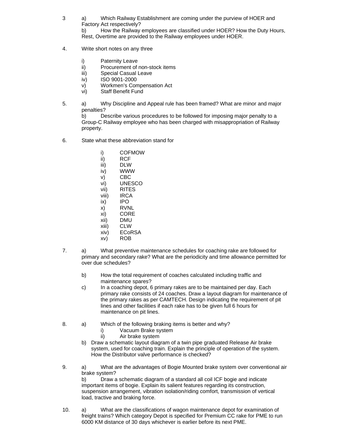- 3 a) Which Railway Establishment are coming under the purview of HOER and Factory Act respectively? b) How the Railway employees are classified under HOER? How the Duty Hours, Rest, Overtime are provided to the Railway employees under HOER.
- 4. Write short notes on any three
	- i) Paternity Leave
	- ii) Procurement of non-stock items
	- iii) Special Casual Leave
	- iv) ISO 9001-2000
	- v) Workmen's Compensation Act
	- vi) Staff Benefit Fund
- 5. a) Why Discipline and Appeal rule has been framed? What are minor and major penalties?

b) Describe various procedures to be followed for imposing major penalty to a Group-C Railway employee who has been charged with misappropriation of Railway property.

- 6. State what these abbreviation stand for
	- i) COFMOW
	- ii) RCF<br>iii) DLW
	- DLW
	- iv) WWW
	- v) CBC
	- vi) UNESCO
	- vii) RITES
	- viii) IRCA
	- ix) IPO
	- x) RVNL
	- xi) CORE
	- xii) DMU
	- xiii) CLW
	- xiv) ECoRSA
	- xv) ROB
- 7. a) What preventive maintenance schedules for coaching rake are followed for primary and secondary rake? What are the periodicity and time allowance permitted for over due schedules?
	- b) How the total requirement of coaches calculated including traffic and maintenance spares?
	- c) In a coaching depot, 6 primary rakes are to be maintained per day. Each primary rake consists of 24 coaches. Draw a layout diagram for maintenance of the primary rakes as per CAMTECH. Design indicating the requirement of pit lines and other facilities if each rake has to be given full 6 hours for maintenance on pit lines.
- 8. a) Which of the following braking items is better and why?
	- i) Vacuum Brake system
	- ii) Air brake system
	- b) Draw a schematic layout diagram of a twin pipe graduated Release Air brake system, used for coaching train. Explain the principle of operation of the system. How the Distributor valve performance is checked?
- 9. a) What are the advantages of Bogie Mounted brake system over conventional air brake system? b) Draw a schematic diagram of a standard all coil ICF bogie and indicate

important items of bogie. Explain its salient features regarding its construction, suspension arrangement, vibration isolation/riding comfort, transmission of vertical load, tractive and braking force.

10. a) What are the classifications of wagon maintenance depot for examination of freight trains? Which category Depot is specified for Premium CC rake for PME to run 6000 KM distance of 30 days whichever is earlier before its next PME.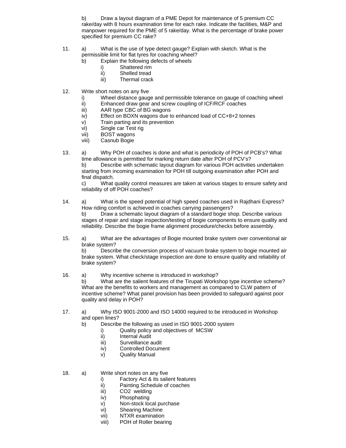b) Draw a layout diagram of a PME Depot for maintenance of 5 premium CC rake/day with 8 hours examination time for each rake. Indicate the facilities, M&P and manpower required for the PME of 5 rake/day. What is the percentage of brake power specified for premium CC rake?

- 11. a) What is the use of type detect gauge? Explain with sketch. What is the permissible limit for flat tyres for coaching wheel?
	- b) Explain the following defects of wheels
		- i) Shattered rim
		- ii) Shelled tread
		- iii) Thermal crack
- 12. Write short notes on any five
	- i) Wheel distance gauge and permissible tolerance on gauge of coaching wheel
	- ii) Enhanced draw gear and screw coupling of ICF/RCF coaches
	- iii) AAR type CBC of BG wagons
	- iv) Effect on BOXN wagons due to enhanced load of CC+8+2 tonnes
	- v) Train parting and its prevention
	- vi) Single car Test rig
	- vii) BOST wagons
	- viii) Casnub Bogie
- 13. a) Why POH of coaches is done and what is periodicity of POH of PCB's? What time allowance is permitted for marking return date after POH of PCV's? b) Describe with schematic layout diagram for various POH activities undertaken starting from incoming examination for POH till outgoing examination after POH and final dispatch.

c) What quality control measures are taken at various stages to ensure safety and reliability of off POH coaches?

- 14. a) What is the speed potential of high speed coaches used in Rajdhani Express? How riding comfort is achieved in coaches carrying passengers? b) Draw a schematic layout diagram of a standard bogie shop. Describe various stages of repair and stage inspection/testing of bogie components to ensure quality and reliability. Describe the bogie frame alignment procedure/checks before assembly.
- 15. a) What are the advantages of Bogie mounted brake system over conventional air brake system?

b) Describe the conversion process of vacuum brake system to bogie mounted air brake system. What check/stage inspection are done to ensure quality and reliability of brake system?

16. a) Why incentive scheme is introduced in workshop?

b) What are the salient features of the Tirupati Workshop type incentive scheme? What are the benefits to workers and management as compared to CLW pattern of incentive scheme? What panel provision has been provided to safeguard against poor quality and delay in POH?

- 17. a) Why ISO 9001-2000 and ISO 14000 required to be introduced in Workshop and open lines?
	- b) Describe the following as used in ISO 9001-2000 system
		- i) Quality policy and objectives of MCSW
		- ii) Internal Audit
		- iii) Surveillance audit
		- iv) Controlled Document
		- v) Quality Manual
- 18. a) Write short notes on any five
	- i) Factory Act & its salient features
	- ii) Painting Schedule of coaches
	- iii) CO2 welding
	- iv) Phosphating
	- v) Non-stock local purchase
	- vi) Shearing Machine
	- vii) NTXR examination
	- viii) POH of Roller bearing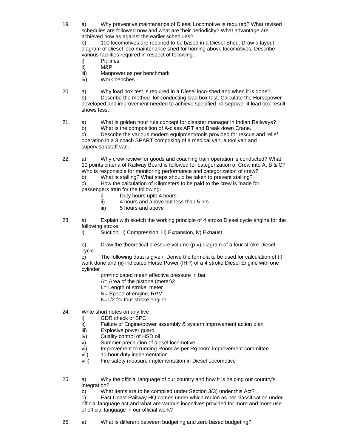19. a) Why preventive maintenance of Diesel Locomotive is required? What revised schedules are followed now and what are their periodicity? What advantage are achieved now as against the earlier schedules?

b) 100 locomotives are required to be based in a Diesel Shed. Draw a layout diagram of Diesel loco maintenance shed for homing above locomotives. Describe various facilities required in respect of following.

- i) Pit lines
- ii) M&P
- iii) Manpower as per benchmark
- iv) Work benches
- 20. a) Why load box test is required in a Diesel loco-shed and when it is done?

b) Describe the method for conducting load box test. Calculate the Horsepower developed and improvement needed to achieve specified horsepower if load box result shows less.

- 21. a) What is golden hour rule concept for disaster manager in Indian Railways?
	- b) What is the composition of A-class ART and Break down Crane.

 c) Describe the various modern equipment/tools provided for rescue and relief operation in a 3 coach SPART comprising of a medical van, a tool van and supervisor/staff van.

22. a) Why crew review for goods and coaching train operation is conducted? What 10 points criteria of Railway Board is followed for categorization of Crew into A, B & C? Who is responsible for monitoring performance and categorization of crew?

b) What is stalling? What steps should be taken to prevent stalling?

 c) How the calculation of Kilometers to be paid to the crew is made for passengers train for the following-

- i) Duty hours upto 4 hours
- ii) 4 hours and above but less than 5 hrs
- iii) 5 hours and above
- 23 a) Explain with sketch the working principle of 4 stroke Diesel cycle engine for the following stroke.
	- i) Suction, ii) Compression, iii) Expansion, iv) Exhaust

b) Draw the theoretical pressure volume (p-v) diagram of a four stroke Diesel cycle

c) The following data is given. Derive the formula to be used for calculation of (i) work done and (ii) indicated Horse Power (IHP) of a 4 stroke Diesel Engine with one cylinder

pm=Indicated mean effective pressure in bar

- A= Area of the pistone (meter)2
- L= Length of stroke, meter
- N= Speed of engine, RPM
- K=1/2 for four stroke engine
- 24. Write short notes on any five
	- i) GDR check of BPC
	- ii) Failure of Engine/power assembly & system improvement action plan
	- iii) Explosive power guard
	- iv) Quality control of HSD oil
	- v) Summer precaution of diesel locomotive<br>vi) Improvement to running Room as per Rg
	- Improvement to running Room as per Rg room improvement committee
	- vii) 10 hour duty implementation
	- viii) Fire safety measure implementation in Diesel Locomotive
- 25. a) Why the official language of our country and how it is helping our country's integration?

b) What items are to be complied under Section 3(3) under this Act?

 c) East Coast Railway HQ comes under which region as per classification under official language act and what are various incentives provided for more and more use of official language in our official work?

26. a) What is different between budgeting and zero based budgeting?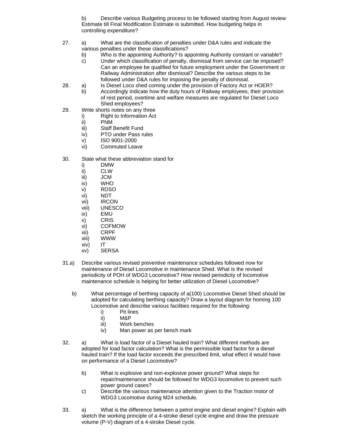b) Describe various Budgeting process to be followed starting from August review Estimate till Final Modification Estimate is submitted. How budgeting helps in controlling expenditure?

- 27. a) What are the classification of penalties under D&A rules and indicate the various penalties under these classifications?
	- b) Who is the appointing Authority? Is appointing Authority constant or variable?
	- c) Under which classification of penalty, dismissal from service can be imposed? Can an employee be qualified for future employment under the Government or Railway Administration after dismissal? Describe the various steps to be followed under D&A rules for imposing the penalty of dismissal.
- 28. a) Is Diesel Loco shed coming under the provision of Factory Act or HOER?
	- b) Accordingly indicate how the duty hours of Railway employees, their provision of rest period, overtime and welfare measures are regulated for Diesel Loco Shed employees?
- 29. Write shorts notes on any three
	- i) Right to Information Act
		- ii) PNM
		- iii) Staff Benefit Fund
		- iv) PTO under Pass rules
		- v) ISO 9001-2000
		- vi) Commuted Leave
- 30. State what these abbreviation stand for
	- i) DMW
	- ii) CLW
	- iii) JCM
	- iv) WHO
	- v) RDSO
	- vi) NDT
	- vii) IRCON
	- viii) UNESCO
	- ix) EMU
	- x) CRIS
	- xi) COFMOW
	- xii) CRPF
	- xiii) WWW
	- xiv) IT
	- xv) SERSA
- 31.a) Describe various revised preventive maintenance schedules followed now for maintenance of Diesel Locomotive in maintenance Shed. What is the revised periodicity of POH of WDG3 Locomotive? How revised periodicity of locomotive maintenance schedule is helping for better utilization of Diesel Locomotive?
	- b) What percentage of berthing capacity of a(100) Locomotive Diesel Shed should be adopted for calculating berthing capacity? Draw a layout diagram for homing 100 Locomotive and describe various facilities required for the following:
		- i) Pit lines
		- ii) M&P
		- iii) Work benches
		- iv) Man power as per bench mark
- 32. a) What is load factor of a Diesel hauled train? What different methods are adopted for load factor calculation? What is the permissible load factor for a diesel hauled train? If the load factor exceeds the prescribed limit, what effect it would have on performance of a Diesel Locomotive?
	- b) What is explosive and non-explosive power ground? What steps for repair/maintenance should be followed for WDG3 locomotive to prevent such power ground cases?
	- c) Describe the various maintenance attention given to the Traction motor of WDG3 Locomotive during M24 schedule.
- 33. a) What is the difference between a petrol engine and diesel engine? Explain with sketch the working principle of a 4-stroke diesel cycle engine and draw the pressure volume (P-V) diagram of a 4-stroke Diesel cycle.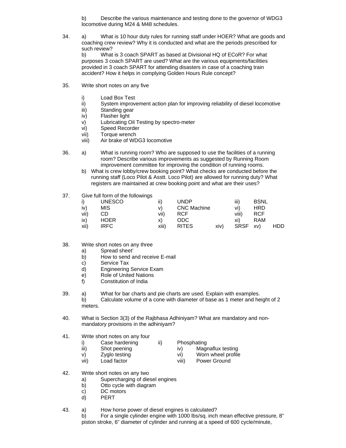b) Describe the various maintenance and testing done to the governor of WDG3 locomotive during M24 & M48 schedules.

34. a) What is 10 hour duty rules for running staff under HOER? What are goods and coaching crew review? Why it is conducted and what are the periods prescribed for such review?

b) What is 3 coach SPART as based at Divisional HQ of ECoR? For what purposes 3 coach SPART are used? What are the various equipments/facilities provided in 3 coach SPART for attending disasters in case of a coaching train accident? How it helps in complying Golden Hours Rule concept?

- 35. Write short notes on any five
	-
	- i) Load Box Test<br>ii) System improv System improvement action plan for improving reliability of diesel locomotive
	- iii) Standing gear
	- iv) Flasher light
	- v) Lubricating Oil Testing by spectro-meter
	- vi) Speed Recorder
	- vii) Torque wrench
	- viii) Air brake of WDG3 locomotive
- 36. a) What is running room? Who are supposed to use the facilities of a running room? Describe various improvements as suggested by Running Room improvement committee for improving the condition of running rooms.
	- b) What is crew lobby/crew booking point? What checks are conducted before the running staff (Loco Pilot & Asstt. Loco Pilot) are allowed for running duty? What registers are maintained at crew booking point and what are their uses?
- 37. Give full form of the followings

|      | <b>UNESCO</b> | ii)   | <b>UNDP</b>        |      | iii)        | <b>BSNL</b> |            |
|------|---------------|-------|--------------------|------|-------------|-------------|------------|
| iv)  | MIS           | V)    | <b>CNC Machine</b> |      | vi)         | HRD         |            |
| vii) | CD            | vii)  | <b>RCF</b>         |      | viii)       | RCF         |            |
| IX)  | <b>HOER</b>   | X)    | ODC                |      | xi)         | RAM         |            |
| xii) | IRFC          | xiii) | <b>RITES</b>       | xiv) | <b>SRSF</b> | xv)         | <b>HDD</b> |

- 38. Write short notes on any three
	- a) Spread sheet'
	- b) How to send and receive E-mail
	- c) Service Tax
	- d) Engineering Service Exam
	- e) Role of United Nations
	- f) Constitution of India
- 39. a) What for bar charts and pie charts are used. Explain with examples.

b) Calculate volume of a cone with diameter of base as 1 meter and height of 2 meters.

- 40. What is Section 3(3) of the Rajbhasa Adhiniyam? What are mandatory and nonmandatory provisions in the adhiniyam?
- 41. Write short notes on any four
	- i) Case hardening ii) Phosphating<br>iii) Shot peening iv) Mag
		-
- 
- Shot peening iv) Magnaflux testing
- v) Zyglo testing vi) Worn wheel profile
- 
- vii) Load factor viii) Power Ground
- 42. Write short notes on any two
	- a) Supercharging of diesel engines
	- b) Otto cycle with diagram
	- c) DC motors
	- d) PERT
- 43. a) How horse power of diesel engines is calculated?

b) For a single cylinder engine with 1000 lbs/sq. inch mean effective pressure, 8" piston stroke, 6" diameter of cylinder and running at a speed of 600 cycle/minute,

- -
	-
	-
-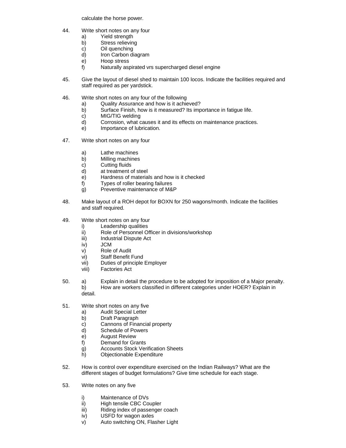calculate the horse power.

- 44. Write short notes on any four
	- a) Yield strength
	- b) Stress relieving
	- c) Oil quenching
	- d) Iron Carbon diagram
	- e) Hoop stress
	- f) Naturally aspirated vrs supercharged diesel engine
- 45. Give the layout of diesel shed to maintain 100 locos. Indicate the facilities required and staff required as per yardstick.
- 46. Write short notes on any four of the following
	- a) Quality Assurance and how is it achieved?
	- b) Surface Finish, how is it measured? Its importance in fatigue life.
	- c) MIG/TIG welding
	- d) Corrosion, what causes it and its effects on maintenance practices.
	- e) Importance of lubrication.
- 47. Write short notes on any four
	- a) Lathe machines
	- b) Milling machines<br>c) Cutting fluids
	- Cutting fluids
	- d) at treatment of steel
	- e) Hardness of materials and how is it checked
	- f) Types of roller bearing failures
	- g) Preventive maintenance of M&P
- 48. Make layout of a ROH depot for BOXN for 250 wagons/month. Indicate the facilities and staff required.
- 49. Write short notes on any four
	- i) Leadership qualities
	- ii) Role of Personnel Officer in divisions/workshop
	- iii) Industrial Dispute Act
	- iv) JCM
	- v) Role of Audit
	- vi) Staff Benefit Fund
	- vii) Duties of principle Employer
	- viii) Factories Act
- 50. a) Explain in detail the procedure to be adopted for imposition of a Major penalty. b) How are workers classified in different categories under HOER? Explain in detail.
- 51. Write short notes on any five
	- a) Audit Special Letter
	- b) Draft Paragraph
	- c) Cannons of Financial property
	- d) Schedule of Powers
	- e) August Review
	- f) Demand for Grants
	- g) Accounts Stock Verification Sheets
	- h) Objectionable Expenditure
- 52. How is control over expenditure exercised on the Indian Railways? What are the different stages of budget formulations? Give time schedule for each stage.
- 53. Write notes on any five
	- i) Maintenance of DVs
	- ii) High tensile CBC Coupler
	- iii) Riding index of passenger coach
	- iv) USFD for wagon axles
	- v) Auto switching ON, Flasher Light